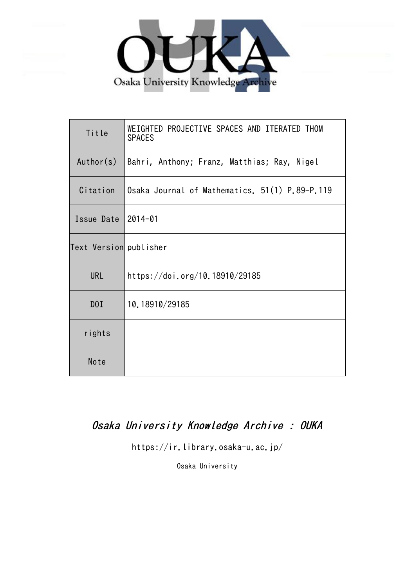

| Title                  | WEIGHTED PROJECTIVE SPACES AND ITERATED THOM<br><b>SPACES</b> |
|------------------------|---------------------------------------------------------------|
| Author(s)              | Bahri, Anthony; Franz, Matthias; Ray, Nigel                   |
| Citation               | Osaka Journal of Mathematics. 51(1) P.89-P.119                |
| Issue Date             | $2014 - 01$                                                   |
| Text Version publisher |                                                               |
| <b>URL</b>             | https://doi.org/10.18910/29185                                |
| D0I                    | 10.18910/29185                                                |
| rights                 |                                                               |
| Note                   |                                                               |

# Osaka University Knowledge Archive : OUKA

https://ir.library.osaka-u.ac.jp/

Osaka University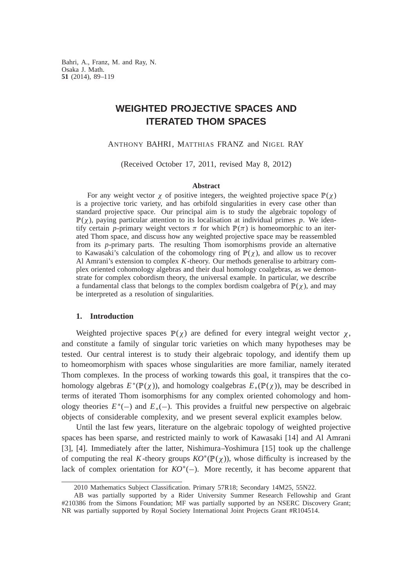Bahri, A., Franz, M. and Ray, N. Osaka J. Math. **51** (2014), 89–119

# **WEIGHTED PROJECTIVE SPACES AND ITERATED THOM SPACES**

ANTHONY BAHRI, MATTHIAS FRANZ and NIGEL RAY

(Received October 17, 2011, revised May 8, 2012)

#### **Abstract**

For any weight vector  $\chi$  of positive integers, the weighted projective space  $\mathbb{P}(\chi)$ is a projective toric variety, and has orbifold singularities in every case other than standard projective space. Our principal aim is to study the algebraic topology of  $\mathbb{P}(\chi)$ , paying particular attention to its localisation at individual primes p. We identify certain *p*-primary weight vectors  $\pi$  for which  $\mathbb{P}(\pi)$  is homeomorphic to an iterated Thom space, and discuss how any weighted projective space may be reassembled from its *p*-primary parts. The resulting Thom isomorphisms provide an alternative to Kawasaki's calculation of the cohomology ring of  $\mathbb{P}(\gamma)$ , and allow us to recover Al Amrani's extension to complex *K*-theory. Our methods generalise to arbitrary complex oriented cohomology algebras and their dual homology coalgebras, as we demonstrate for complex cobordism theory, the universal example. In particular, we describe a fundamental class that belongs to the complex bordism coalgebra of  $\mathbb{P}(\chi)$ , and may be interpreted as a resolution of singularities.

## **1. Introduction**

Weighted projective spaces  $\mathbb{P}(\chi)$  are defined for every integral weight vector  $\chi$ , and constitute a family of singular toric varieties on which many hypotheses may be tested. Our central interest is to study their algebraic topology, and identify them up to homeomorphism with spaces whose singularities are more familiar, namely iterated Thom complexes. In the process of working towards this goal, it transpires that the cohomology algebras  $E^*(\mathbb{P}(\chi))$ , and homology coalgebras  $E_*(\mathbb{P}(\chi))$ , may be described in terms of iterated Thom isomorphisms for any complex oriented cohomology and homology theories  $E^*(-)$  and  $E^*(-)$ . This provides a fruitful new perspective on algebraic objects of considerable complexity, and we present several explicit examples below.

Until the last few years, literature on the algebraic topology of weighted projective spaces has been sparse, and restricted mainly to work of Kawasaki [14] and Al Amrani [3], [4]. Immediately after the latter, Nishimura–Yoshimura [15] took up the challenge of computing the real K-theory groups  $KO^*(\mathbb{P}(\chi))$ , whose difficulty is increased by the lack of complex orientation for  $KO^*(-)$ . More recently, it has become apparent that

<sup>2010</sup> Mathematics Subject Classification. Primary 57R18; Secondary 14M25, 55N22.

AB was partially supported by a Rider University Summer Research Fellowship and Grant #210386 from the Simons Foundation; MF was partially supported by an NSERC Discovery Grant; NR was partially supported by Royal Society International Joint Projects Grant #R104514.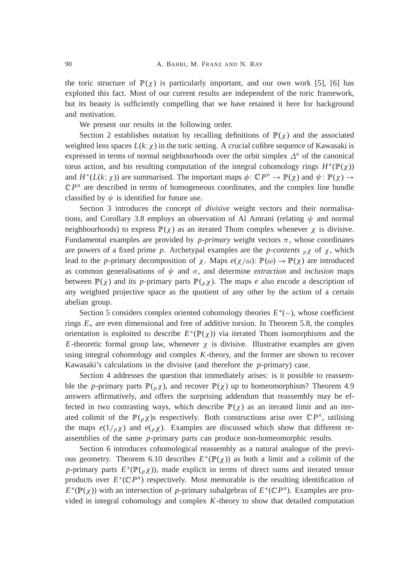the toric structure of  $\mathbb{P}(\chi)$  is particularly important, and our own work [5], [6] has exploited this fact. Most of our current results are independent of the toric framework, but its beauty is sufficiently compelling that we have retained it here for background and motivation.

We present our results in the following order.

Section 2 establishes notation by recalling definitions of  $\mathbb{P}(\chi)$  and the associated weighted lens spaces  $L(k; \chi)$  in the toric setting. A crucial cofibre sequence of Kawasaki is expressed in terms of normal neighbourhoods over the orbit simplex  $\Delta^n$  of the canonical torus action, and his resulting computation of the integral cohomology rings  $H^*(\mathbb{P}(\chi))$ and  $H^*(L(k; \chi))$  are summarised. The important maps  $\phi \colon \mathbb{C}P^n \to \mathbb{P}(\chi)$  and  $\psi \colon \mathbb{P}(\chi) \to$  $\mathbb{C}P^n$  are described in terms of homogeneous coordinates, and the complex line bundle classified by  $\psi$  is identified for future use.

Section 3 introduces the concept of *divisive* weight vectors and their normalisations, and Corollary 3.8 employs an observation of Al Amrani (relating  $\psi$  and normal neighbourhoods) to express  $\mathbb{P}(\chi)$  as an iterated Thom complex whenever  $\chi$  is divisive. Fundamental examples are provided by  $p$ -primary weight vectors  $\pi$ , whose coordinates are powers of a fixed prime p. Archetypal examples are the *p*-contents  $_p\chi$  of  $\chi$ , which lead to the *p*-primary decomposition of  $\chi$ . Maps  $e(\chi/\omega)$ :  $\mathbb{P}(\omega) \to \mathbb{P}(\chi)$  are introduced as common generalisations of  $\psi$  and  $\sigma$ , and determine *extraction* and *inclusion* maps between  $\mathbb{P}(\chi)$  and its *p*-primary parts  $\mathbb{P}(\rho \chi)$ . The maps *e* also encode a description of any weighted projective space as the quotient of any other by the action of a certain abelian group.

Section 5 considers complex oriented cohomology theories  $E^*(-)$ , whose coefficient rings  $E_*$  are even dimensional and free of additive torsion. In Theorem 5.8, the complex orientation is exploited to describe  $E^*(\mathbb{P}(\chi))$  via iterated Thom isomorphisms and the *E*-theoretic formal group law, whenever  $\chi$  is divisive. Illustrative examples are given using integral cohomology and complex *K*-theory, and the former are shown to recover Kawasaki's calculations in the divisive (and therefore the *p*-primary) case.

Section 4 addresses the question that immediately arises: is it possible to reassemble the *p*-primary parts  $\mathbb{P}(\gamma)$ , and recover  $\mathbb{P}(\gamma)$  up to homeomorphism? Theorem 4.9 answers affirmatively, and offers the surprising addendum that reassembly may be effected in two contrasting ways, which describe  $\mathbb{P}(\chi)$  as an iterated limit and an iterated colimit of the  $\mathbb{P}(\rho \chi)$ 's respectively. Both constructions arise over  $\mathbb{C}P^n$ , utilising the maps  $e(1/p\chi)$  and  $e(p\chi)$ . Examples are discussed which show that different reassemblies of the same *p*-primary parts can produce non-homeomorphic results.

Section 6 introduces cohomological reassembly as a natural analogue of the previous geometry. Theorem 6.10 describes  $E^*(\mathbb{P}(\chi))$  as both a limit and a colimit of the *p*-primary parts  $E^*(\mathbb{P}(\rho \chi))$ , made explicit in terms of direct sums and iterated tensor products over  $E^*(\mathbb{C}P^n)$  respectively. Most memorable is the resulting identification of  $E^*(\mathbb{P}(\chi))$  with an intersection of *p*-primary subalgebras of  $E^*(\mathbb{C}P^n)$ . Examples are provided in integral cohomology and complex *K*-theory to show that detailed computation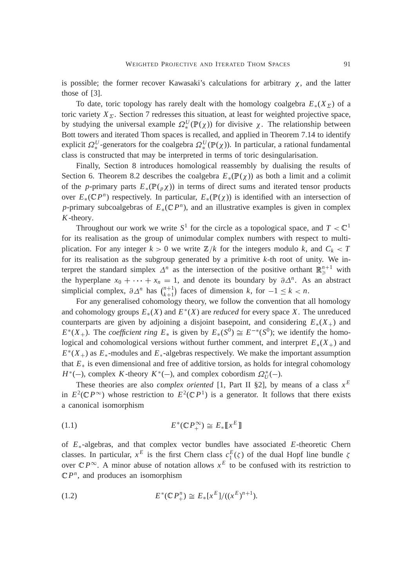is possible; the former recover Kawasaki's calculations for arbitrary  $\chi$ , and the latter those of [3].

To date, toric topology has rarely dealt with the homology coalgebra  $E_*(X_\Sigma)$  of a toric variety  $X_{\Sigma}$ . Section 7 redresses this situation, at least for weighted projective space, by studying the universal example  $\Omega_*^U(\mathbb{P}(\chi))$  for divisive  $\chi$ . The relationship between Bott towers and iterated Thom spaces is recalled, and applied in Theorem 7.14 to identify explicit  $\Omega_*^U$ -generators for the coalgebra  $\Omega_*^U(\mathbb{P}(\chi))$ . In particular, a rational fundamental class is constructed that may be interpreted in terms of toric desingularisation.

Finally, Section 8 introduces homological reassembly by dualising the results of Section 6. Theorem 8.2 describes the coalgebra  $E_*(\mathbb{P}(\chi))$  as both a limit and a colimit of the *p*-primary parts  $E_*(\mathbb{P}(\rho \chi))$  in terms of direct sums and iterated tensor products over  $E_*(\mathbb{C}P^n)$  respectively. In particular,  $E_*(\mathbb{P}(\chi))$  is identified with an intersection of *p*-primary subcoalgebras of  $E_*(\mathbb{C}P^n)$ , and an illustrative examples is given in complex *K*-theory.

Throughout our work we write  $S^1$  for the circle as a topological space, and  $T < \mathbb{C}^1$ for its realisation as the group of unimodular complex numbers with respect to multiplication. For any integer  $k > 0$  we write  $\mathbb{Z}/k$  for the integers modulo *k*, and  $C_k < T$ for its realisation as the subgroup generated by a primitive *k*-th root of unity. We interpret the standard simplex  $\Delta^n$  as the intersection of the positive orthant  $\mathbb{R}^{n+1}_{\geq}$  with the hyperplane  $x_0 + \cdots + x_n = 1$ , and denote its boundary by  $\partial \Delta^n$ . As an abstract simplicial complex,  $\partial \Delta^n$  has  $\binom{n+1}{k+1}$  $f_{k+1}^{n+1}$  faces of dimension *k*, for  $-1 \leq k < n$ .

For any generalised cohomology theory, we follow the convention that all homology and cohomology groups  $E_*(X)$  and  $E^*(X)$  are *reduced* for every space X. The unreduced counterparts are given by adjoining a disjoint basepoint, and considering  $E_*(X_+)$  and  $E^*(X_+)$ . The *coefficient ring*  $E_*$  is given by  $E_*(S^0) \cong E^{-*}(S^0)$ ; we identify the homological and cohomological versions without further comment, and interpret  $E_*(X_+)$  and  $E^*(X_+)$  as  $E_*$ -modules and  $E_*$ -algebras respectively. We make the important assumption that  $E_*$  is even dimensional and free of additive torsion, as holds for integral cohomology  $H^*(-)$ , complex *K*-theory  $K^*(-)$ , and complex cobordism  $\Omega_U^*(-)$ .

These theories are also *complex oriented* [1, Part II §2], by means of a class  $x^E$ in  $E^2(\mathbb{C}P^{\infty})$  whose restriction to  $E^2(\mathbb{C}P^1)$  is a generator. It follows that there exists a canonical isomorphism

$$
(1.1) \t\t\t E^*(\mathbb{C}P_+^{\infty}) \cong E_*[\![x^E]\!]
$$

of  $E_*$ -algebras, and that complex vector bundles have associated  $E$ -theoretic Chern classes. In particular,  $x^E$  is the first Chern class  $c_1^E(\zeta)$  of the dual Hopf line bundle  $\zeta$ over  $\mathbb{C}P^{\infty}$ . A minor abuse of notation allows  $x^E$  to be confused with its restriction to  $\mathbb{C}P^n$ , and produces an isomorphism

(1.2) 
$$
E^*(\mathbb{C} P_+^n) \cong E_*[x^E]/((x^E)^{n+1}).
$$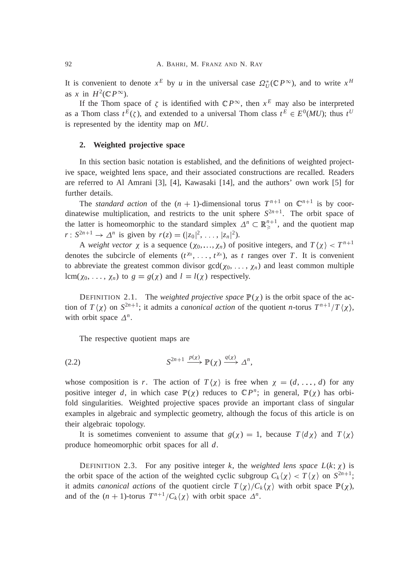It is convenient to denote  $x^E$  by *u* in the universal case  $\Omega^*_U(\mathbb{C}P^\infty)$ , and to write  $x^H$ as *x* in  $H^2(\mathbb{C}P^\infty)$ .

If the Thom space of  $\zeta$  is identified with  $\mathbb{C}P^{\infty}$ , then  $x^E$  may also be interpreted as a Thom class  $t^E(\zeta)$ , and extended to a universal Thom class  $t^E \in E^0(MU)$ ; thus  $t^U$ is represented by the identity map on *MU*.

### **2. Weighted projective space**

In this section basic notation is established, and the definitions of weighted projective space, weighted lens space, and their associated constructions are recalled. Readers are referred to Al Amrani [3], [4], Kawasaki [14], and the authors' own work [5] for further details.

The *standard action* of the  $(n + 1)$ -dimensional torus  $T^{n+1}$  on  $\mathbb{C}^{n+1}$  is by coordinatewise multiplication, and restricts to the unit sphere  $S^{2n+1}$ . The orbit space of the latter is homeomorphic to the standard simplex  $\Delta^n \subset \mathbb{R}^{n+1}_{\geq}$ , and the quotient map *r* :  $S^{2n+1} \to \Delta^n$  is given by  $r(z) = (|z_0|^2, \ldots, |z_n|^2)$ .

A *weight vector*  $\chi$  is a sequence  $(\chi_0, \ldots, \chi_n)$  of positive integers, and  $T(\chi) < T^{n+1}$ denotes the subcircle of elements  $(t^{x_0}, \ldots, t^{x_n})$ , as *t* ranges over *T*. It is convenient to abbreviate the greatest common divisor  $gcd(\chi_0, \ldots, \chi_n)$  and least common multiple lcm( $\chi_0, \ldots, \chi_n$ ) to  $g = g(\chi)$  and  $l = l(\chi)$  respectively.

DEFINITION 2.1. The *weighted projective space*  $\mathbb{P}(\chi)$  is the orbit space of the action of  $T(\chi)$  on  $S^{2n+1}$ ; it admits a *canonical action* of the quotient *n*-torus  $T^{n+1}/T(\chi)$ , with orbit space  $\Delta^n$ .

The respective quotient maps are

$$
(2.2) \tS^{2n+1} \xrightarrow{p(\chi)} \mathbb{P}(\chi) \xrightarrow{q(\chi)} \Delta^n,
$$

whose composition is *r*. The action of  $T(\chi)$  is free when  $\chi = (d, \ldots, d)$  for any positive integer *d*, in which case  $\mathbb{P}(\chi)$  reduces to  $\mathbb{C}P^n$ ; in general,  $\mathbb{P}(\chi)$  has orbifold singularities. Weighted projective spaces provide an important class of singular examples in algebraic and symplectic geometry, although the focus of this article is on their algebraic topology.

It is sometimes convenient to assume that  $g(\chi) = 1$ , because  $T \langle d\chi \rangle$  and  $T \langle \chi \rangle$ produce homeomorphic orbit spaces for all *d*.

DEFINITION 2.3. For any positive integer *k*, the *weighted lens space*  $L(k; \chi)$  is the orbit space of the action of the weighted cyclic subgroup  $C_k(\chi) < T(\chi)$  on  $S^{2n+1}$ ; it admits *canonical actions* of the quotient circle  $T(\chi)/C_k(\chi)$  with orbit space  $\mathbb{P}(\chi)$ , and of the  $(n + 1)$ -torus  $T^{n+1}/C_k\langle \chi \rangle$  with orbit space  $\Delta^n$ .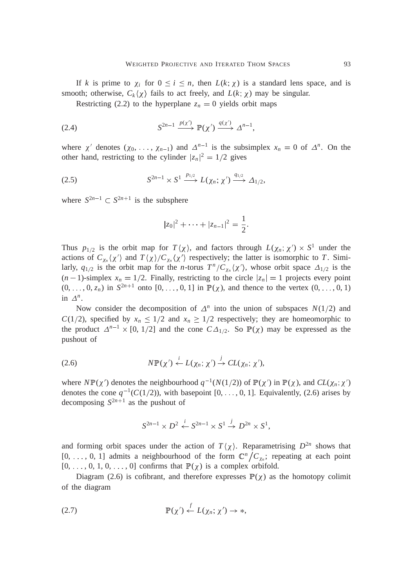If *k* is prime to  $\chi_i$  for  $0 \le i \le n$ , then  $L(k; \chi)$  is a standard lens space, and is smooth; otherwise,  $C_k(\chi)$  fails to act freely, and  $L(k; \chi)$  may be singular.

Restricting (2.2) to the hyperplane  $z_n = 0$  yields orbit maps

$$
(2.4) \tS^{2n-1} \xrightarrow{p(\chi')} \mathbb{P}(\chi') \xrightarrow{q(\chi')} \Delta^{n-1},
$$

where  $\chi'$  denotes  $(\chi_0, \ldots, \chi_{n-1})$  and  $\Delta^{n-1}$  is the subsimplex  $x_n = 0$  of  $\Delta^n$ . On the other hand, restricting to the cylinder  $|z_n|^2 = 1/2$  gives

$$
(2.5) \tS^{2n-1} \times S^1 \xrightarrow{p_{1/2}} L(\chi_n; \chi') \xrightarrow{q_{1/2}} \Delta_{1/2},
$$

where  $S^{2n-1} \subset S^{2n+1}$  is the subsphere

$$
|z_0|^2 + \cdots + |z_{n-1}|^2 = \frac{1}{2}.
$$

Thus  $p_{1/2}$  is the orbit map for  $T\langle \chi \rangle$ , and factors through  $L(\chi_n; \chi') \times S^1$  under the actions of  $C_{\chi_n}(\chi')$  and  $T(\chi)/C_{\chi_n}(\chi')$  respectively; the latter is isomorphic to *T*. Similarly,  $q_{1/2}$  is the orbit map for the *n*-torus  $T^n/C_{\chi_n}\langle \chi' \rangle$ , whose orbit space  $\Delta_{1/2}$  is the  $(n-1)$ -simplex  $x_n = 1/2$ . Finally, restricting to the circle  $|z_n| = 1$  projects every point  $(0, \ldots, 0, z_n)$  in  $S^{2n+1}$  onto  $[0, \ldots, 0, 1]$  in  $\mathbb{P}(\chi)$ , and thence to the vertex  $(0, \ldots, 0, 1)$ in  $\Delta^n$ .

Now consider the decomposition of  $\Delta^n$  into the union of subspaces  $N(1/2)$  and *C*(1/2), specified by  $x_n \leq 1/2$  and  $x_n \geq 1/2$  respectively; they are homeomorphic to the product  $\Delta^{n-1} \times [0, 1/2]$  and the cone  $C\Delta_{1/2}$ . So  $\mathbb{P}(\chi)$  may be expressed as the pushout of

(2.6) *N* <sup>P</sup> ( <sup>0</sup> ) *i L*(*<sup>n</sup>* <sup>I</sup> <sup>0</sup> ) *j* ! *CL*(*<sup>n</sup>* <sup>I</sup> <sup>0</sup> ),

where  $N\mathbb{P}(\chi')$  denotes the neighbourhood  $q^{-1}(N(1/2))$  of  $\mathbb{P}(\chi')$  in  $\mathbb{P}(\chi)$ , and  $CL(\chi_n; \chi')$ denotes the cone  $q^{-1}(C(1/2))$ , with basepoint  $[0, \ldots, 0, 1]$ . Equivalently, (2.6) arises by decomposing  $S^{2n+1}$  as the pushout of

$$
S^{2n-1} \times D^2 \stackrel{i}{\leftarrow} S^{2n-1} \times S^1 \stackrel{j}{\rightarrow} D^{2n} \times S^1,
$$

and forming orbit spaces under the action of  $T(\chi)$ . Reparametrising  $D^{2n}$  shows that  $[0, \ldots, 0, 1]$  admits a neighbourhood of the form  $\mathbb{C}^n / C_{\chi_n}$ ; repeating at each point  $[0, \ldots, 0, 1, 0, \ldots, 0]$  confirms that  $\mathbb{P}(\chi)$  is a complex orbifold.

Diagram (2.6) is cofibrant, and therefore expresses  $\mathbb{P}(\chi)$  as the homotopy colimit of the diagram

(2.7) <sup>P</sup> ( <sup>0</sup> ) *f L*(*<sup>n</sup>* <sup>I</sup> <sup>0</sup> ) ! ,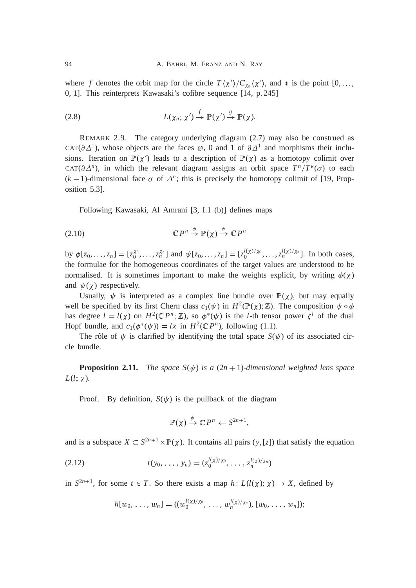where f denotes the orbit map for the circle  $T(\chi')/C_{\chi_n}(\chi')$ , and  $*$  is the point  $[0, \ldots,$ 0, 1]. This reinterprets Kawasaki's cofibre sequence [14, p. 245]

(2.8) 
$$
L(\chi_n; \chi') \stackrel{f}{\to} \mathbb{P}(\chi') \stackrel{g}{\to} \mathbb{P}(\chi).
$$

REMARK 2.9. The category underlying diagram (2.7) may also be construed as CAT( $\partial \Delta^1$ ), whose objects are the faces  $\varnothing$ , 0 and 1 of  $\partial \Delta^1$  and morphisms their inclusions. Iteration on  $\mathbb{P}(\chi')$  leads to a description of  $\mathbb{P}(\chi)$  as a homotopy colimit over CAT( $\partial \Delta^n$ ), in which the relevant diagram assigns an orbit space  $T^n/T^k(\sigma)$  to each  $(k-1)$ -dimensional face  $\sigma$  of  $\Delta^n$ ; this is precisely the homotopy colimit of [19, Proposition 5.3].

Following Kawasaki, Al Amrani [3, I.1 (b)] defines maps

$$
(2.10) \t\t\t \mathbb{C}P^n \stackrel{\varphi}{\to} \mathbb{P}(\chi) \stackrel{\psi}{\to} \mathbb{C}P^n
$$

by  $\phi[z_0, ..., z_n] = [z_0^{x_0}, ..., z_n^{x_n}]$  and  $\psi[z_0, ..., z_n] = [z_0^{l(x)/\chi_0}, ..., z_n^{l(x)/\chi_n}]$ . In both cases, the formulae for the homogeneous coordinates of the target values are understood to be normalised. It is sometimes important to make the weights explicit, by writing  $\phi(\chi)$ and  $\psi(\chi)$  respectively.

Usually,  $\psi$  is interpreted as a complex line bundle over  $\mathbb{P}(\chi)$ , but may equally well be specified by its first Chern class  $c_1(\psi)$  in  $H^2(\mathbb{P}(\chi); \mathbb{Z})$ . The composition  $\psi \circ \phi$ has degree  $l = l(\chi)$  on  $H^2(\mathbb{C}P^n;\mathbb{Z})$ , so  $\phi^*(\psi)$  is the *l*-th tensor power  $\zeta^l$  of the dual Hopf bundle, and  $c_1(\phi^*(\psi)) = lx$  in  $H^2(\mathbb{C}P^n)$ , following (1.1).

The rôle of  $\psi$  is clarified by identifying the total space  $S(\psi)$  of its associated circle bundle.

**Proposition 2.11.** *The space*  $S(\psi)$  *is a*  $(2n + 1)$ *-dimensional weighted lens space*  $L(l; \chi)$ .

Proof. By definition,  $S(\psi)$  is the pullback of the diagram

$$
\mathbb{P}(\chi) \xrightarrow{\psi} \mathbb{C} P^n \leftarrow S^{2n+1},
$$

and is a subspace  $X \subset S^{2n+1} \times \mathbb{P}(\chi)$ . It contains all pairs  $(y, [z])$  that satisfy the equation

(2.12) 
$$
t(y_0, \ldots, y_n) = (z_0^{l(x)/\chi_0}, \ldots, z_n^{l(x)/\chi_n})
$$

in  $S^{2n+1}$ , for some  $t \in T$ . So there exists a map *h*:  $L(l(\chi); \chi) \to X$ , defined by

$$
h[w_0, \ldots, w_n] = ((w_0^{l(x)/\chi_0}, \ldots, w_n^{l(x)/\chi_n}), [w_0, \ldots, w_n]);
$$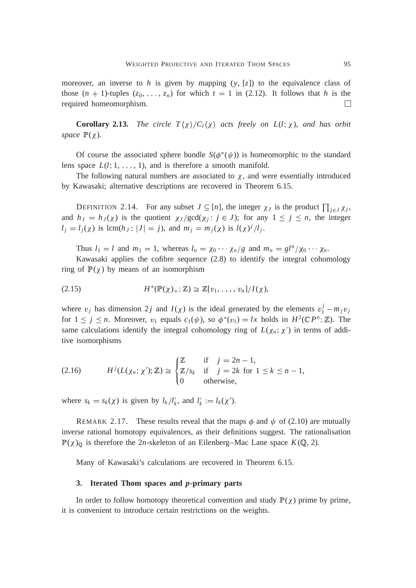moreover, an inverse to h is given by mapping  $(y, [z])$  to the equivalence class of those  $(n + 1)$ -tuples  $(z_0, \ldots, z_n)$  for which  $t = 1$  in (2.12). It follows that *h* is the required homeomorphism.  $\Box$ 

**Corollary 2.13.** *The circle*  $T\langle \chi \rangle / C_l \langle \chi \rangle$  *acts freely on L(l;*  $\chi$ *), and has orbit space*  $\mathbb{P}(\chi)$ *.* 

Of course the associated sphere bundle  $S(\phi^*(\psi))$  is homeomorphic to the standard lens space  $L(l; 1, \ldots, 1)$ , and is therefore a smooth manifold.

The following natural numbers are associated to  $\chi$ , and were essentially introduced by Kawasaki; alternative descriptions are recovered in Theorem 6.15.

DEFINITION 2.14. For any subset  $J \subseteq [n]$ , the integer  $\chi_J$  is the product  $\prod_{j \in J} \chi_j$ , and  $h_j = h_j(\chi)$  is the quotient  $\chi_j/\text{gcd}(\chi_j : j \in J)$ ; for any  $1 \leq j \leq n$ , the integer  $l_j = l_j(\chi)$  is lcm( $h_j : |J| = j$ ), and  $m_j = m_j(\chi)$  is  $l(\chi)^j / l_j$ .

Thus  $l_1 = l$  and  $m_1 = 1$ , whereas  $l_n = \chi_0 \cdots \chi_n/g$  and  $m_n = gl^n/\chi_0 \cdots \chi_n$ .

Kawasaki applies the cofibre sequence (2.8) to identify the integral cohomology ring of  $\mathbb{P}(\chi)$  by means of an isomorphism

(2.15) *H* (<sup>P</sup> ( )C<sup>I</sup> <sup>Z</sup>) <sup>Z</sup>[v<sup>1</sup>, : : : , <sup>v</sup>*<sup>n</sup>*]=*I*( ),

where  $v_j$  has dimension 2*j* and  $I(\chi)$  is the ideal generated by the elements  $v_1^j - m_j v_j$ for  $1 \leq j \leq n$ . Moreover,  $v_1$  equals  $c_1(\psi)$ , so  $\phi^*(v_1) = lx$  holds in  $H^2(\mathbb{C}P^n; \mathbb{Z})$ . The same calculations identify the integral cohomology ring of  $L(\chi_n; \chi')$  in terms of additive isomorphisms

(2.16) 
$$
H^{j}(L(\chi_n; \chi'); \mathbb{Z}) \cong \begin{cases} \mathbb{Z} & \text{if } j = 2n - 1, \\ \mathbb{Z}/s_k & \text{if } j = 2k \text{ for } 1 \leq k \leq n - 1, \\ 0 & \text{otherwise,} \end{cases}
$$

where  $s_k = s_k(\chi)$  is given by  $l_k / l'_k$ , and  $l'_k := l_k(\chi')$ .

REMARK 2.17. These results reveal that the maps  $\phi$  and  $\psi$  of (2.10) are mutually inverse rational homotopy equivalences, as their definitions suggest. The rationalisation  $\mathbb{P}(\chi)_{\mathbb{Q}}$  is therefore the 2*n*-skeleton of an Eilenberg–Mac Lane space  $K(\mathbb{Q}, 2)$ .

Many of Kawasaki's calculations are recovered in Theorem 6.15.

#### **3. Iterated Thom spaces and** *p***-primary parts**

In order to follow homotopy theoretical convention and study  $\mathbb{P}(\chi)$  prime by prime, it is convenient to introduce certain restrictions on the weights.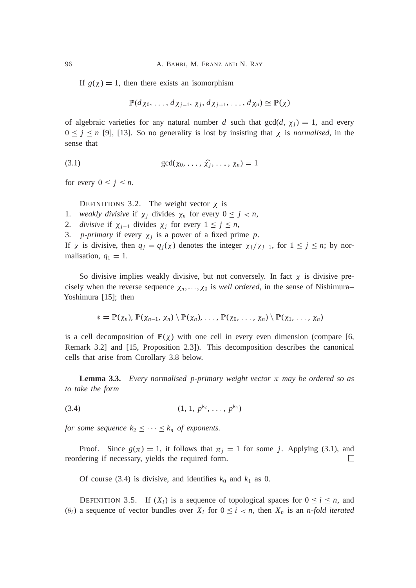If  $g(\chi) = 1$ , then there exists an isomorphism

$$
\mathbb{P}(d\chi_0,\ldots,d\chi_{j-1},\chi_j,d\chi_{j+1},\ldots,d\chi_n)\cong\mathbb{P}(\chi)
$$

of algebraic varieties for any natural number *d* such that  $gcd(d, \chi_i) = 1$ , and every  $0 \le j \le n$  [9], [13]. So no generality is lost by insisting that  $\chi$  is *normalised*, in the sense that

(3.1) 
$$
\gcd(\chi_0, \ldots, \widehat{\chi}_j, \ldots, \chi_n) = 1
$$

for every  $0 \leq j \leq n$ .

DEFINITIONS 3.2. The weight vector  $\chi$  is

- 1. *weakly divisive* if  $\chi_j$  divides  $\chi_n$  for every  $0 \leq j < n$ ,
- 2. *divisive* if  $\chi_{j-1}$  divides  $\chi_j$  for every  $1 \leq j \leq n$ ,

3. *p*-*primary* if every  $\chi_j$  is a power of a fixed prime *p*.

If  $\chi$  is divisive, then  $q_j = q_j(\chi)$  denotes the integer  $\chi_j/\chi_{j-1}$ , for  $1 \leq j \leq n$ ; by normalisation,  $q_1 = 1$ .

So divisive implies weakly divisive, but not conversely. In fact  $\chi$  is divisive precisely when the reverse sequence  $\chi_n, \ldots, \chi_0$  is *well ordered*, in the sense of Nishimura– Yoshimura [15]; then

$$
* = \mathbb{P}(\chi_n), \mathbb{P}(\chi_{n-1}, \chi_n) \setminus \mathbb{P}(\chi_n), \ldots, \mathbb{P}(\chi_0, \ldots, \chi_n) \setminus \mathbb{P}(\chi_1, \ldots, \chi_n)
$$

is a cell decomposition of  $\mathbb{P}(\chi)$  with one cell in every even dimension (compare [6, Remark 3.2] and [15, Proposition 2.3]). This decomposition describes the canonical cells that arise from Corollary 3.8 below.

**Lemma 3.3.** *Every normalised p-primary weight vector*  $\pi$  *may be ordered so as to take the form*

$$
(3.4) \t\t (1, 1, p^{k_2}, \ldots, p^{k_n})
$$

*for some sequence*  $k_2 \leq \cdots \leq k_n$  *of exponents.* 

Proof. Since  $g(\pi) = 1$ , it follows that  $\pi_i = 1$  for some *j*. Applying (3.1), and reordering if necessary, yields the required form.  $\Box$ 

Of course (3.4) is divisive, and identifies  $k_0$  and  $k_1$  as 0.

DEFINITION 3.5. If  $(X_i)$  is a sequence of topological spaces for  $0 \le i \le n$ , and  $(\theta_i)$  a sequence of vector bundles over  $X_i$  for  $0 \le i \le n$ , then  $X_n$  is an *n-fold iterated*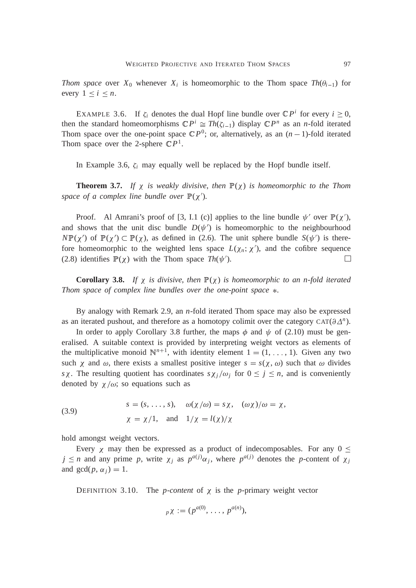*Thom space* over  $X_0$  whenever  $X_i$  is homeomorphic to the Thom space  $Th(\theta_{i-1})$  for every  $1 \leq i \leq n$ .

EXAMPLE 3.6. If  $\zeta_i$  denotes the dual Hopf line bundle over  $\mathbb{C}P^i$  for every  $i \geq 0$ , then the standard homeomorphisms  $\mathbb{C}P^i \cong Th(\zeta_{i-1})$  display  $\mathbb{C}P^n$  as an *n*-fold iterated Thom space over the one-point space  $\mathbb{C}P^0$ ; or, alternatively, as an  $(n-1)$ -fold iterated Thom space over the 2-sphere  $\mathbb{C}P^1$ .

In Example 3.6,  $\zeta_i$  may equally well be replaced by the Hopf bundle itself.

**Theorem 3.7.** If  $\chi$  is weakly divisive, then  $\mathbb{P}(\chi)$  is homeomorphic to the Thom space of a complex line bundle over  $\mathbb{P}(\chi')$ .

Proof. Al Amrani's proof of [3, I.1 (c)] applies to the line bundle  $\psi'$  over  $\mathbb{P}(\chi')$ , and shows that the unit disc bundle  $D(\psi')$  is homeomorphic to the neighbourhood  $N\mathbb{P}(\chi')$  of  $\mathbb{P}(\chi') \subset \mathbb{P}(\chi)$ , as defined in (2.6). The unit sphere bundle  $S(\psi')$  is therefore homeomorphic to the weighted lens space  $L(\chi_n; \chi')$ , and the cofibre sequence (2.8) identifies  $\mathbb{P}(\chi)$  with the Thom space  $Th(\psi')$ .  $\Box$ 

**Corollary 3.8.** *If*  $\chi$  *is divisive, then*  $\mathbb{P}(\chi)$  *is homeomorphic to an n-fold iterated Thom space of complex line bundles over the one-point space .*

By analogy with Remark 2.9, an *n*-fold iterated Thom space may also be expressed as an iterated pushout, and therefore as a homotopy colimit over the category  $CAT(\partial \Delta^n)$ .

In order to apply Corollary 3.8 further, the maps  $\phi$  and  $\psi$  of (2.10) must be generalised. A suitable context is provided by interpreting weight vectors as elements of the multiplicative monoid  $\mathbb{N}^{n+1}$ , with identity element  $1 = (1, \ldots, 1)$ . Given any two such  $\chi$  and  $\omega$ , there exists a smallest positive integer  $s = s(\chi, \omega)$  such that  $\omega$  divides *s*  $\chi$ . The resulting quotient has coordinates  $s\chi_j/\omega_j$  for  $0 \leq j \leq n$ , and is conveniently denoted by  $\chi/\omega$ ; so equations such as

(3.9) 
$$
s = (s, ..., s), \quad \omega(\chi/\omega) = s\chi, \quad (\omega\chi)/\omega = \chi,
$$

$$
\chi = \chi/1, \quad \text{and} \quad 1/\chi = l(\chi)/\chi
$$

hold amongst weight vectors.

Every  $\chi$  may then be expressed as a product of indecomposables. For any  $0 \le$  $j \leq n$  and any prime p, write  $\chi_j$  as  $p^{a(j)}\alpha_j$ , where  $p^{a(j)}$  denotes the p-content of  $\chi_j$ and  $gcd(p, \alpha_i) = 1$ .

DEFINITION 3.10. The *p-content* of  $\chi$  is the *p*-primary weight vector

$$
p\chi = (p^{a(0)}, \ldots, p^{a(n)}),
$$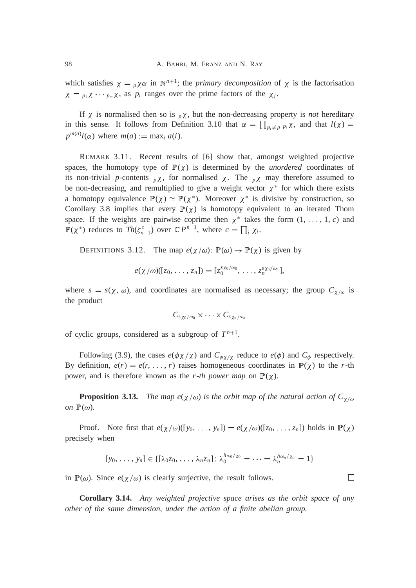which satisfies  $\chi = p \chi \alpha$  in  $\mathbb{N}^{n+1}$ ; the *primary decomposition* of  $\chi$  is the factorisation  $\chi = p_1 \chi \cdots p_m \chi$ , as  $p_i$  ranges over the prime factors of the  $\chi_j$ .

If  $\chi$  is normalised then so is  $p\chi$ , but the non-decreasing property is *not* hereditary in this sense. It follows from Definition 3.10 that  $\alpha = \prod_{p_i \neq p} p_i \chi$ , and that  $l(\chi) =$  $p^{m(a)}l(\alpha)$  where  $m(a) := \max_i a(i)$ .

REMARK 3.11. Recent results of [6] show that, amongst weighted projective spaces, the homotopy type of  $\mathbb{P}(\chi)$  is determined by the *unordered* coordinates of its non-trivial *p*-contents  $p\chi$ , for normalised  $\chi$ . The  $p\chi$  may therefore assumed to be non-decreasing, and remultiplied to give a weight vector  $\chi^*$  for which there exists a homotopy equivalence  $\mathbb{P}(\chi) \simeq \mathbb{P}(\chi^*)$ . Moreover  $\chi^*$  is divisive by construction, so Corollary 3.8 implies that every  $\mathbb{P}(\chi)$  is homotopy equivalent to an iterated Thom space. If the weights are pairwise coprime then  $\chi^*$  takes the form  $(1, \ldots, 1, c)$  and  $\mathbb{P}(\chi^*)$  reduces to *Th*( $\zeta_{n-1}^c$ ) over  $\mathbb{C}P^{n-1}$ , where  $c = \prod_i \chi_i$ .

DEFINITIONS 3.12. The map  $e(\chi/\omega)$ :  $\mathbb{P}(\omega) \to \mathbb{P}(\chi)$  is given by

$$
e(\chi/\omega)([z_0,\ldots,z_n])=[z_0^{s\chi_0/\omega_0},\ldots,z_n^{s\chi_n/\omega_n}],
$$

where  $s = s(\chi, \omega)$ , and coordinates are normalised as necessary; the group  $C_{\chi/\omega}$  is the product

$$
C_{s\chi_0/\omega_0}\times\cdots\times C_{s\chi_n/\omega_n}
$$

of cyclic groups, considered as a subgroup of  $T^{n+1}$ .

Following (3.9), the cases  $e(\phi \chi / \chi)$  and  $C_{\phi \chi / \chi}$  reduce to  $e(\phi)$  and  $C_{\phi}$  respectively. By definition,  $e(r) = e(r, \ldots, r)$  raises homogeneous coordinates in  $\mathbb{P}(\chi)$  to the *r*-th power, and is therefore known as the *r-th power map* on  $\mathbb{P}(\chi)$ .

**Proposition 3.13.** *The map e*( $\chi/\omega$ ) *is the orbit map of the natural action of*  $C_{\chi/\omega}$ *on*  $\mathbb{P}(\omega)$ *.* 

Proof. Note first that  $e(\chi/\omega)([y_0, \ldots, y_n]) = e(\chi/\omega)([z_0, \ldots, z_n])$  holds in  $\mathbb{P}(\chi)$ precisely when

$$
[y_0, \ldots, y_n] \in \{ [\lambda_0 z_0, \ldots, \lambda_n z_n] : \lambda_0^{h \omega_0 / \chi_0} = \cdots = \lambda_n^{h \omega_n / \chi_n} = 1 \}
$$

 $\Box$ 

in  $\mathbb{P}(\omega)$ . Since  $e(\chi/\omega)$  is clearly surjective, the result follows.

**Corollary 3.14.** *Any weighted projective space arises as the orbit space of any other of the same dimension*, *under the action of a finite abelian group.*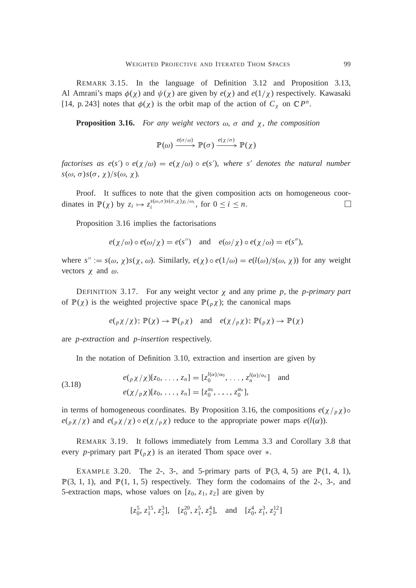REMARK 3.15. In the language of Definition 3.12 and Proposition 3.13, Al Amrani's maps  $\phi(\chi)$  and  $\psi(\chi)$  are given by  $e(\chi)$  and  $e(1/\chi)$  respectively. Kawasaki [14, p. 243] notes that  $\phi(\chi)$  is the orbit map of the action of  $C_{\chi}$  on  $\mathbb{C}P^{n}$ .

**Proposition 3.16.** *For any weight vectors*  $\omega$ ,  $\sigma$  and  $\chi$ , the composition

$$
\mathbb{P}(\omega) \xrightarrow{e(\sigma/\omega)} \mathbb{P}(\sigma) \xrightarrow{e(\chi/\sigma)} \mathbb{P}(\chi)
$$

*factorises as*  $e(s') \circ e(\chi/\omega) = e(\chi/\omega) \circ e(s')$ *, where s' denotes the natural number*  $s(\omega, \sigma)s(\sigma, \chi)/s(\omega, \chi)$ .

Proof. It suffices to note that the given composition acts on homogeneous coordinates in  $\mathbb{P}(\chi)$  by  $z_i \mapsto z_i^{s(\omega,\sigma)s(\sigma,\chi)\chi_i/\omega_i}$ , for  $0 \le i \le n$ .  $\Box$ 

Proposition 3.16 implies the factorisations

$$
e(\chi/\omega) \circ e(\omega/\chi) = e(s'')
$$
 and  $e(\omega/\chi) \circ e(\chi/\omega) = e(s'')$ ,

where  $s'' := s(\omega, \chi)s(\chi, \omega)$ . Similarly,  $e(\chi) \circ e(1/\omega) = e(l(\omega)/s(\omega, \chi))$  for any weight vectors  $\chi$  and  $\omega$ .

DEFINITION 3.17. For any weight vector  $\chi$  and any prime p, the *p-primary part* of  $\mathbb{P}(\chi)$  is the weighted projective space  $\mathbb{P}(\rho \chi)$ ; the canonical maps

$$
e(p\chi/\chi): \mathbb{P}(\chi) \to \mathbb{P}(\rho\chi)
$$
 and  $e(\chi/p\chi): \mathbb{P}(\rho\chi) \to \mathbb{P}(\chi)$ 

are *p-extraction* and *p-insertion* respectively.

In the notation of Definition 3.10, extraction and insertion are given by

(3.18) 
$$
e(p\chi/\chi)[z_0, \ldots, z_n] = [z_0^{l(\alpha)/\alpha_0}, \ldots, z_n^{l(\alpha)/\alpha_n}] \text{ and }
$$

$$
e(\chi/p\chi)[z_0, \ldots, z_n] = [z_0^{\alpha_0}, \ldots, z_0^{\alpha_n}],
$$

in terms of homogeneous coordinates. By Proposition 3.16, the compositions  $e(\chi /_{p} \chi) \circ$  $e(p\chi/\chi)$  and  $e(p\chi/\chi) \circ e(\chi/p\chi)$  reduce to the appropriate power maps  $e(l(\alpha))$ .

REMARK 3.19. It follows immediately from Lemma 3.3 and Corollary 3.8 that every *p*-primary part  $\mathbb{P}(\rho \chi)$  is an iterated Thom space over  $*$ .

EXAMPLE 3.20. The 2-, 3-, and 5-primary parts of  $\mathbb{P}(3, 4, 5)$  are  $\mathbb{P}(1, 4, 1)$ ,  $\mathbb{P}(3, 1, 1)$ , and  $\mathbb{P}(1, 1, 5)$  respectively. They form the codomains of the 2-, 3-, and 5-extraction maps, whose values on  $[z_0, z_1, z_2]$  are given by

$$
[z_0^5, z_1^{15}, z_2^3]
$$
,  $[z_0^{20}, z_1^5, z_2^4]$ , and  $[z_0^4, z_1^3, z_2^{12}]$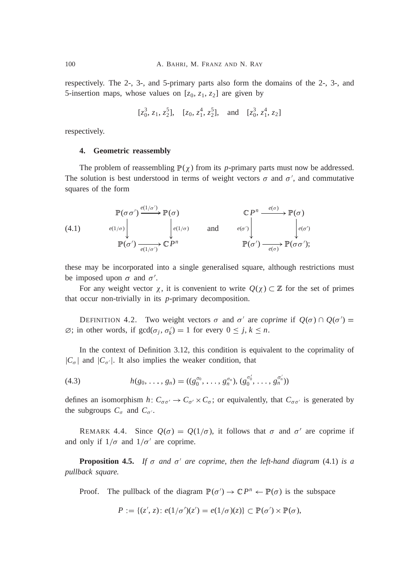respectively. The 2-, 3-, and 5-primary parts also form the domains of the 2-, 3-, and 5-insertion maps, whose values on  $[z_0, z_1, z_2]$  are given by

$$
[z_0^3, z_1, z_2^5]
$$
,  $[z_0, z_1^4, z_2^5]$ , and  $[z_0^3, z_1^4, z_2]$ 

respectively.

#### **4. Geometric reassembly**

The problem of reassembling  $\mathbb{P}(\chi)$  from its *p*-primary parts must now be addressed. The solution is best understood in terms of weight vectors  $\sigma$  and  $\sigma'$ , and commutative squares of the form

(4.1) 
$$
\mathbb{P}(\sigma \sigma') \xrightarrow{e(1/\sigma')} \mathbb{P}(\sigma) \qquad \mathbb{C} P^n \xrightarrow{e(\sigma)} \mathbb{P}(\sigma)
$$
  
\n
$$
\mathbb{P}(\sigma') \xrightarrow{e(1/\sigma')} \mathbb{C} P^n \qquad \text{and} \qquad \mathbb{P}(\sigma') \xrightarrow{e(\sigma')} \mathbb{P}(\sigma \sigma');
$$
  
\n
$$
\mathbb{P}(\sigma') \xrightarrow{e(1/\sigma')} \mathbb{C} P^n \qquad \mathbb{P}(\sigma') \xrightarrow{e(\sigma)} \mathbb{P}(\sigma \sigma');
$$

these may be incorporated into a single generalised square, although restrictions must be imposed upon  $\sigma$  and  $\sigma'$ .

For any weight vector  $\chi$ , it is convenient to write  $Q(\chi) \subset \mathbb{Z}$  for the set of primes that occur non-trivially in its *p*-primary decomposition.

DEFINITION 4.2. Two weight vectors  $\sigma$  and  $\sigma'$  are *coprime* if  $Q(\sigma) \cap Q(\sigma') =$  $\emptyset$ ; in other words, if  $gcd(\sigma_j, \sigma'_k) = 1$  for every  $0 \leq j, k \leq n$ .

In the context of Definition 3.12, this condition is equivalent to the coprimality of  $|C_{\sigma}|$  and  $|C_{\sigma'}|$ . It also implies the weaker condition, that

(4.3) 
$$
h(g_0, \ldots, g_n) = ((g_0^{\sigma_0}, \ldots, g_n^{\sigma_n}), (g_0^{\sigma_0}, \ldots, g_n^{\sigma_n}))
$$

defines an isomorphism *h*:  $C_{\sigma\sigma'} \to C_{\sigma'} \times C_{\sigma}$ ; or equivalently, that  $C_{\sigma\sigma'}$  is generated by the subgroups  $C_{\sigma}$  and  $C_{\sigma'}$ .

REMARK 4.4. Since  $Q(\sigma) = Q(1/\sigma)$ , it follows that  $\sigma$  and  $\sigma'$  are coprime if and only if  $1/\sigma$  and  $1/\sigma'$  are coprime.

**Proposition 4.5.** If  $\sigma$  and  $\sigma'$  are coprime, then the left-hand diagram (4.1) is a *pullback square.*

Proof. The pullback of the diagram  $\mathbb{P}(\sigma') \to \mathbb{C}P^n \leftarrow \mathbb{P}(\sigma)$  is the subspace

$$
P := \{ (z', z) : e(1/\sigma')(z') = e(1/\sigma)(z) \} \subset \mathbb{P}(\sigma') \times \mathbb{P}(\sigma),
$$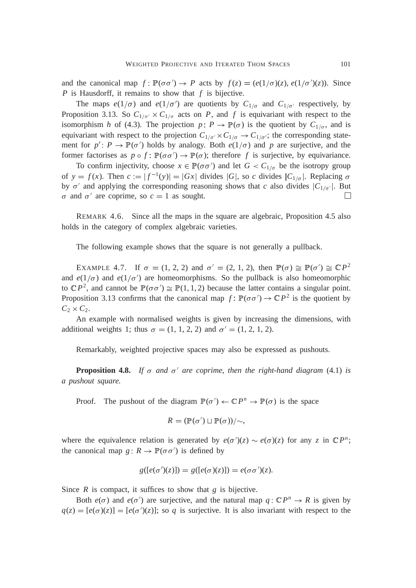and the canonical map  $f : \mathbb{P}(\sigma\sigma') \to P$  acts by  $f(z) = (e(1/\sigma)(z), e(1/\sigma')(z))$ . Since *P* is Hausdorff, it remains to show that *f* is bijective.

The maps  $e(1/\sigma)$  and  $e(1/\sigma')$  are quotients by  $C_{1/\sigma}$  and  $C_{1/\sigma'}$  respectively, by Proposition 3.13. So  $C_{1/\sigma} \times C_{1/\sigma}$  acts on *P*, and *f* is equivariant with respect to the isomorphism *h* of (4.3). The projection  $p: P \to \mathbb{P}(\sigma)$  is the quotient by  $C_{1/\sigma}$ , and is equivariant with respect to the projection  $C_{1/\sigma} \times C_{1/\sigma} \to C_{1/\sigma}$ ; the corresponding statement for  $p' : P \to \mathbb{P}(\sigma')$  holds by analogy. Both  $e(1/\sigma)$  and p are surjective, and the former factorises as  $p \circ f$ :  $\mathbb{P}(\sigma \sigma') \to \mathbb{P}(\sigma)$ ; therefore f is surjective, by equivariance.

To confirm injectivity, choose  $x \in \mathbb{P}(\sigma \sigma')$  and let  $G < C_{1/\sigma}$  be the isotropy group of  $y = f(x)$ . Then  $c := |f^{-1}(y)| = |Gx|$  divides  $|G|$ , so *c* divides  $|C_{1/\sigma}|$ . Replacing  $\sigma$ by  $\sigma'$  and applying the corresponding reasoning shows that *c* also divides  $|C_{1/\sigma'}|$ . But  $\sigma$  and  $\sigma'$  are coprime, so  $c = 1$  as sought.

REMARK 4.6. Since all the maps in the square are algebraic, Proposition 4.5 also holds in the category of complex algebraic varieties.

The following example shows that the square is not generally a pullback.

EXAMPLE 4.7. If  $\sigma = (1, 2, 2)$  and  $\sigma' = (2, 1, 2)$ , then  $\mathbb{P}(\sigma) \cong \mathbb{P}(\sigma') \cong \mathbb{C}P^2$ and  $e(1/\sigma)$  and  $e(1/\sigma')$  are homeomorphisms. So the pullback is also homeomorphic to  $\mathbb{C}P^2$ , and cannot be  $\mathbb{P}(\sigma\sigma') \cong \mathbb{P}(1,1,2)$  because the latter contains a singular point. Proposition 3.13 confirms that the canonical map  $f: \mathbb{P}(\sigma\sigma') \to \mathbb{C}P^2$  is the quotient by  $C_2 \times C_2$ .

An example with normalised weights is given by increasing the dimensions, with additional weights 1; thus  $\sigma = (1, 1, 2, 2)$  and  $\sigma' = (1, 2, 1, 2)$ .

Remarkably, weighted projective spaces may also be expressed as pushouts.

**Proposition 4.8.** If  $\sigma$  and  $\sigma'$  are coprime, then the right-hand diagram (4.1) is *a pushout square.*

Proof. The pushout of the diagram  $\mathbb{P}(\sigma') \leftarrow \mathbb{C}P^n \rightarrow \mathbb{P}(\sigma)$  is the space

$$
R = (\mathbb{P}(\sigma') \sqcup \mathbb{P}(\sigma))/\sim,
$$

where the equivalence relation is generated by  $e(\sigma')(z) \sim e(\sigma)(z)$  for any *z* in  $\mathbb{C}P^n$ ; the canonical map  $g: R \to \mathbb{P}(\sigma \sigma')$  is defined by

$$
g([e(\sigma')(z)]) = g([e(\sigma)(z)]) = e(\sigma \sigma')(z).
$$

Since *R* is compact, it suffices to show that *g* is bijective.

Both  $e(\sigma)$  and  $e(\sigma')$  are surjective, and the natural map  $q: \mathbb{C}P^n \to R$  is given by  $q(z) = [e(\sigma)(z)] = [e(\sigma')(z)]$ ; so *q* is surjective. It is also invariant with respect to the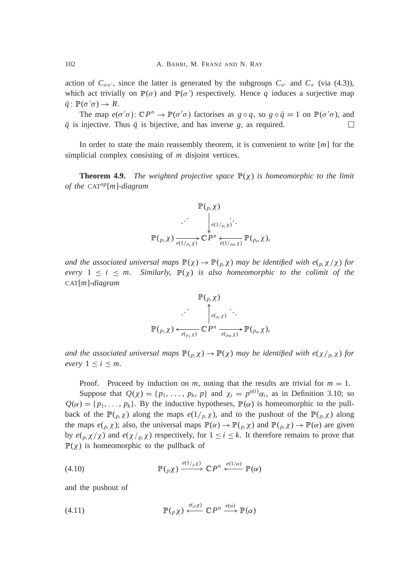action of  $C_{\sigma\sigma}$ , since the latter is generated by the subgroups  $C_{\sigma'}$  and  $C_{\sigma}$  (via (4.3)), which act trivially on  $\mathbb{P}(\sigma)$  and  $\mathbb{P}(\sigma')$  respectively. Hence q induces a surjective map  $\bar{q} : \mathbb{P}(\sigma' \sigma) \to R$ .

The map  $e(\sigma' \sigma)$ :  $\mathbb{C}P^n \to \mathbb{P}(\sigma' \sigma)$  factorises as  $g \circ q$ , so  $g \circ \bar{q} = 1$  on  $\mathbb{P}(\sigma' \sigma)$ , and  $\overline{q}$  is injective. Thus  $\overline{q}$  is bijective, and has inverse *g*, as required.  $\Box$ 

In order to state the main reassembly theorem, it is convenient to write [*m*] for the simplicial complex consisting of *m* disjoint vertices.

**Theorem 4.9.** *The weighted projective space*  $\mathbb{P}(\chi)$  *is homeomorphic to the limit of the* CAT*op*[*m*]*-diagram*

<sup>P</sup> (*<sup>p</sup><sup>i</sup>* ) *e*(1<sup>=</sup> *pi* ) K . . . . . . <sup>P</sup> (*<sup>p</sup>*<sup>1</sup> ) *e*(1<sup>=</sup> *<sup>p</sup>*<sup>1</sup> ) <sup>K</sup> <sup>C</sup> *P n* <sup>P</sup> (*<sup>p</sup><sup>m</sup>* ), *e*(1<sup>=</sup> *pm* ) K

*and the associated universal maps*  $\mathbb{P}(\chi) \to \mathbb{P}(\rho_i \chi)$  *may be identified with e*( $\rho_i \chi / \chi$ ) *for every*  $1 \leq i \leq m$ . Similarly,  $\mathbb{P}(\chi)$  is also homeomorphic to the colimit of the CAT[*m*]*-diagram*

$$
\mathbb{P}(\rho_i \chi) \cdot \cdot \cdot \cdot \uparrow_{e(\rho_i \chi)} \cdot \cdot \cdot \cdot \uparrow_{e(\rho_m \chi)} \cdot \cdot \cdot \mathbb{P}(\rho_m \chi) \cdot \downarrow_{e(\rho_m \chi)} \mathbb{P}(\rho_m \chi),
$$

*and the associated universal maps*  $\mathbb{P}(\rho_i \chi) \to \mathbb{P}(\chi)$  *may be identified with e*( $\chi/\rho_i \chi$ ) *for every*  $1 \leq i \leq m$ .

Proof. Proceed by induction on *m*, noting that the results are trivial for  $m = 1$ . Suppose that  $Q(\chi) = \{p_1, \ldots, p_k, p\}$  and  $\chi_i = p^{a(i)}\alpha_i$ , as in Definition 3.10; so  $Q(\alpha) = \{p_1, \ldots, p_k\}$ . By the inductive hypotheses,  $\mathbb{P}(\alpha)$  is homeomorphic to the pullback of the  $\mathbb{P}(\frac{p}{i} \chi)$  along the maps  $e(1/p_i \chi)$ , and to the pushout of the  $\mathbb{P}(\frac{p}{i} \chi)$  along the maps  $e(p_i \chi)$ ; also, the universal maps  $\mathbb{P}(\alpha) \to \mathbb{P}(\rho_i \chi)$  and  $\mathbb{P}(\rho_i \chi) \to \mathbb{P}(\alpha)$  are given by  $e(p_i \chi / \chi)$  and  $e(\chi / p_i \chi)$  respectively, for  $1 \le i \le k$ . It therefore remains to prove that  $\mathbb{P}(\chi)$  is homeomorphic to the pullback of

(4.10) 
$$
\mathbb{P}(\rho \chi) \xrightarrow{e(1/\rho \chi)} \mathbb{C} P^n \xleftarrow{e(1/\alpha)} \mathbb{P}(\alpha)
$$

and the pushout of

(4.11) 
$$
\mathbb{P}(\rho \chi) \xleftarrow{e(\rho \chi)} \mathbb{C} P^n \xrightarrow{e(\alpha)} \mathbb{P}(\alpha)
$$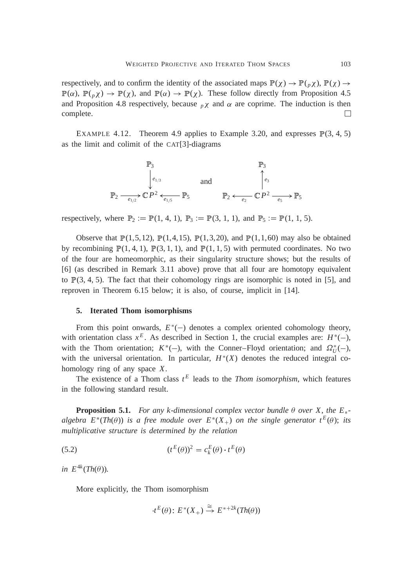respectively, and to confirm the identity of the associated maps  $\mathbb{P}(\chi) \to \mathbb{P}(\rho \chi)$ ,  $\mathbb{P}(\chi) \to$  $\mathbb{P}(\alpha)$ ,  $\mathbb{P}(\rho \chi) \to \mathbb{P}(\chi)$ , and  $\mathbb{P}(\alpha) \to \mathbb{P}(\chi)$ . These follow directly from Proposition 4.5 and Proposition 4.8 respectively, because  $p\chi$  and  $\alpha$  are coprime. The induction is then complete.  $\Box$ 

EXAMPLE 4.12. Theorem 4.9 applies to Example 3.20, and expresses  $\mathbb{P}(3, 4, 5)$ as the limit and colimit of the CAT[3]-diagrams

$$
\mathbb{P}_3
$$
  
\n
$$
\mathbb{P}_2 \xrightarrow{e_{1/3}} \mathbb{C} P^2 \xleftarrow{e_{1/5}} \mathbb{P}_5
$$
  
\nand  
\n
$$
\mathbb{P}_2 \xleftarrow{e_3} \mathbb{C} P^2 \xrightarrow{e_{1/5}} \mathbb{P}_5
$$
  
\n
$$
\mathbb{P}_2 \xleftarrow{e_2} \mathbb{C} P^2 \xrightarrow{e_5} \mathbb{P}_5
$$

respectively, where  $\mathbb{P}_2 = \mathbb{P}(1, 4, 1), \mathbb{P}_3 = \mathbb{P}(3, 1, 1),$  and  $\mathbb{P}_5 = \mathbb{P}(1, 1, 5)$ .

Observe that  $\mathbb{P}(1,5,12)$ ,  $\mathbb{P}(1,4,15)$ ,  $\mathbb{P}(1,3,20)$ , and  $\mathbb{P}(1,1,60)$  may also be obtained by recombining  $\mathbb{P}(1, 4, 1)$ ,  $\mathbb{P}(3, 1, 1)$ , and  $\mathbb{P}(1, 1, 5)$  with permuted coordinates. No two of the four are homeomorphic, as their singularity structure shows; but the results of [6] (as described in Remark 3.11 above) prove that all four are homotopy equivalent to  $\mathbb{P}(3, 4, 5)$ . The fact that their cohomology rings are isomorphic is noted in [5], and reproven in Theorem 6.15 below; it is also, of course, implicit in [14].

#### **5. Iterated Thom isomorphisms**

From this point onwards,  $E^*(-)$  denotes a complex oriented cohomology theory, with orientation class  $x^E$ . As described in Section 1, the crucial examples are:  $H^*(-)$ , with the Thom orientation;  $K^*(-)$ , with the Conner–Floyd orientation; and  $\Omega_U^*(-)$ , with the universal orientation. In particular,  $H^*(X)$  denotes the reduced integral cohomology ring of any space *X*.

The existence of a Thom class  $t^E$  leads to the *Thom isomorphism*, which features in the following standard result.

**Proposition 5.1.** *For any k-dimensional complex vector bundle*  $\theta$  *over* X, the  $E_*$ *algebra*  $E^*(Th(\theta))$  *is a free module over*  $E^*(X_+)$  *on the single generator*  $t^E(\theta)$ ; *its multiplicative structure is determined by the relation*

(5.2) 
$$
(t^{E}(\theta))^{2} = c_{k}^{E}(\theta) \cdot t^{E}(\theta)
$$

 $in E^{4k}(Th(\theta))$ .

More explicitly, the Thom isomorphism

$$
t^E(\theta)
$$
:  $E^*(X_+) \stackrel{\cong}{\to} E^{*+2k}(Th(\theta))$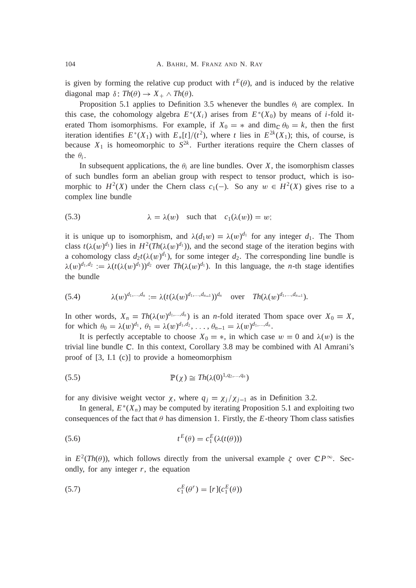is given by forming the relative cup product with  $t^E(\theta)$ , and is induced by the relative diagonal map  $\delta$ :  $Th(\theta) \rightarrow X_+ \wedge Th(\theta)$ .

Proposition 5.1 applies to Definition 3.5 whenever the bundles  $\theta_i$  are complex. In this case, the cohomology algebra  $E^*(X_i)$  arises from  $E^*(X_0)$  by means of *i*-fold iterated Thom isomorphisms. For example, if  $X_0 = *$  and dim<sub>C</sub>  $\theta_0 = k$ , then the first iteration identifies  $E^*(X_1)$  with  $E_*[t]/(t^2)$ , where *t* lies in  $E^{2k}(X_1)$ ; this, of course, is because  $X_1$  is homeomorphic to  $S^{2k}$ . Further iterations require the Chern classes of the  $\theta_i$ .

In subsequent applications, the  $\theta_i$  are line bundles. Over *X*, the isomorphism classes of such bundles form an abelian group with respect to tensor product, which is isomorphic to  $H^2(X)$  under the Chern class  $c_1(-)$ . So any  $w \in H^2(X)$  gives rise to a complex line bundle

(5.3) 
$$
\lambda = \lambda(w) \text{ such that } c_1(\lambda(w)) = w;
$$

it is unique up to isomorphism, and  $\lambda(d_1w) = \lambda(w)^{d_1}$  for any integer  $d_1$ . The Thom class  $t(\lambda(w)^{d_1})$  lies in  $H^2(Th(\lambda(w)^{d_1}))$ , and the second stage of the iteration begins with a cohomology class  $d_2t(\lambda(w)^{d_1})$ , for some integer  $d_2$ . The corresponding line bundle is  $\lambda(w)^{d_1, d_2} := \lambda(t(\lambda(w)^{d_1}))^{d_2}$  over  $Th(\lambda(w)^{d_1})$ . In this language, the *n*-th stage identifies the bundle

(5.4) 
$$
\lambda(w)^{d_1,...,d_n} := \lambda(t(\lambda(w)^{d_1,...,d_{n-1}}))^{d_n} \text{ over } Th(\lambda(w)^{d_1,...,d_{n-1}}).
$$

In other words,  $X_n = Th(\lambda(w)^{d_1, ..., d_n})$  is an *n*-fold iterated Thom space over  $X_0 = X$ , for which  $\theta_0 = \lambda(w)^{d_1}, \ \theta_1 = \lambda(w)^{d_1, d_2}, \ \ldots, \ \theta_{n-1} = \lambda(w)^{d_1, \ldots, d_n}.$ 

It is perfectly acceptable to choose  $X_0 = *$ , in which case  $w = 0$  and  $\lambda(w)$  is the trivial line bundle <sup>C</sup>. In this context, Corollary 3.8 may be combined with Al Amrani's proof of [3, I.1 (c)] to provide a homeomorphism

(5.5) 
$$
\mathbb{P}(\chi) \cong Th(\lambda(0)^{1,q_2,\ldots,q_n})
$$

for any divisive weight vector  $\chi$ , where  $q_j = \chi_j / \chi_{j-1}$  as in Definition 3.2.

In general,  $E^*(X_n)$  may be computed by iterating Proposition 5.1 and exploiting two consequences of the fact that  $\theta$  has dimension 1. Firstly, the *E*-theory Thom class satisfies

(5.6) 
$$
t^{E}(\theta) = c_1^{E}(\lambda(t(\theta)))
$$

in  $E^2(Th(\theta))$ , which follows directly from the universal example  $\zeta$  over  $\mathbb{C}P^{\infty}$ . Secondly, for any integer  $r$ , the equation

(5.7) 
$$
c_1^{E}(\theta^r) = [r](c_1^{E}(\theta))
$$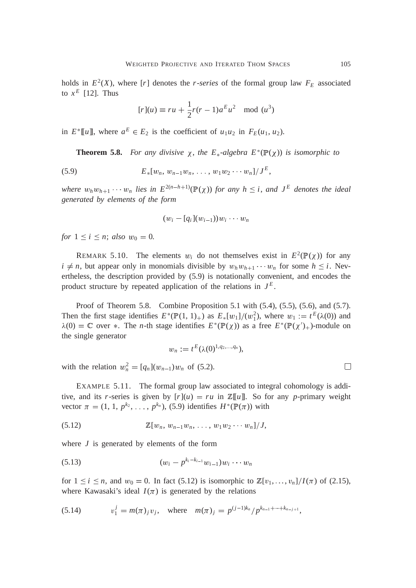holds in  $E^2(X)$ , where [*r*] denotes the *r-series* of the formal group law  $F_E$  associated to  $x^E$  [12]. Thus

$$
[r](u) \equiv ru + \frac{1}{2}r(r-1)a^{E}u^{2} \mod (u^{3})
$$

in  $E^*[[u]]$ , where  $a^E \in E_2$  is the coefficient of  $u_1u_2$  in  $F_E(u_1, u_2)$ .

**Theorem 5.8.** For any divisive  $\chi$ , the  $E_*$ -algebra  $E^*(\mathbb{P}(\chi))$  is isomorphic to

(5.9) 
$$
E_*[w_n, w_{n-1}w_n, \ldots, w_1w_2\cdots w_n]/J^E,
$$

*where*  $w_h w_{h+1} \cdots w_n$  *lies in*  $E^{2(n-h+1)}(\mathbb{P}(\chi))$  *for any*  $h \leq i$ *, and*  $J^E$  *denotes the ideal generated by elements of the form*

$$
(w_i - [q_i](w_{i-1}))w_i \cdots w_n
$$

*for*  $1 \le i \le n$ ; *also*  $w_0 = 0$ .

REMARK 5.10. The elements  $w_i$  do not themselves exist in  $E^2(\mathbb{P}(\chi))$  for any  $i \neq n$ , but appear only in monomials divisible by  $w_h w_{h+1} \cdots w_n$  for some  $h \leq i$ . Nevertheless, the description provided by (5.9) is notationally convenient, and encodes the product structure by repeated application of the relations in  $J<sup>E</sup>$ .

Proof of Theorem 5.8. Combine Proposition 5.1 with (5.4), (5.5), (5.6), and (5.7). Then the first stage identifies  $E^*(\mathbb{P}(1, 1)_+)$  as  $E_*[w_1]/(w_1^2)$ , where  $w_1 := t^E(\lambda(0))$  and  $\lambda(0) = \mathbb{C}$  over  $*$ . The *n*-th stage identifies  $E^*(\mathbb{P}(\chi))$  as a free  $E^*(\mathbb{P}(\chi')_+)$ -module on the single generator

$$
w_n := t^E(\lambda(0)^{1,q_2,...,q_n}),
$$

with the relation  $w_n^2 = [q_n](w_{n-1})w_n$  of (5.2).

EXAMPLE 5.11. The formal group law associated to integral cohomology is additive, and its *r*-series is given by  $[r](u) = ru$  in  $\mathbb{Z}[[u]]$ . So for any *p*-primary weight vector  $\pi = (1, 1, p^{k_2}, \ldots, p^{k_n})$ , (5.9) identifies  $H^*(\mathbb{P}(\pi))$  with

(5.12) <sup>Z</sup>[w*<sup>n</sup>*, <sup>w</sup>*n*1w*<sup>n</sup>*, : : : , <sup>w</sup>1w<sup>2</sup> <sup>w</sup>*<sup>n</sup>*]<sup>=</sup> *J*,

where *J* is generated by elements of the form

(5.13) 
$$
(w_i - p^{k_i - k_{i-1}} w_{i-1}) w_i \cdots w_n
$$

for  $1 \le i \le n$ , and  $w_0 = 0$ . In fact (5.12) is isomorphic to  $\mathbb{Z}[v_1, \ldots, v_n]/I(\pi)$  of (2.15), where Kawasaki's ideal  $I(\pi)$  is generated by the relations

(5.14) 
$$
v_1^j = m(\pi)_j v_j, \text{ where } m(\pi)_j = p^{(j-1)k_n} / p^{k_{n-1} + \dots + k_{n-j+1}},
$$

 $\Box$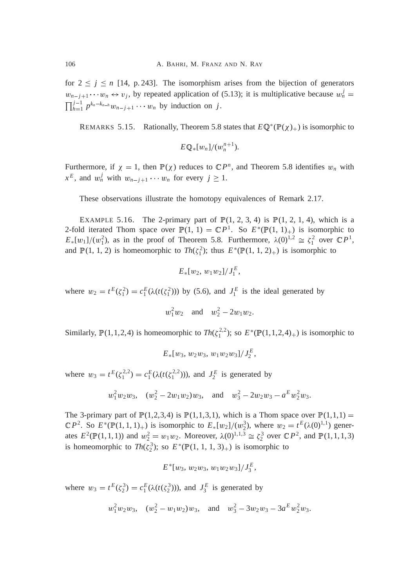for  $2 \leq j \leq n$  [14, p. 243]. The isomorphism arises from the bijection of generators  $w_{n-j+1} \cdots w_n \leftrightarrow v_j$ , by repeated application of (5.13); it is multiplicative because  $w_n^j =$  $\prod_{h=1}^{j-1} p^{k_n-k_{n-h}} w_{n-j+1} \cdots w_n$  by induction on *j*.

REMARKS 5.15. Rationally, Theorem 5.8 states that  $E \mathbb{Q}^*(\mathbb{P}(\chi)_+)$  is isomorphic to

$$
E\mathbb{Q}_{*}[w_n]/(w_n^{n+1}).
$$

Furthermore, if  $\chi = 1$ , then  $\mathbb{P}(\chi)$  reduces to  $\mathbb{C}P^n$ , and Theorem 5.8 identifies  $w_n$  with  $x^E$ , and  $w_n^j$  with  $w_{n-j+1} \cdots w_n$  for every  $j \ge 1$ .

These observations illustrate the homotopy equivalences of Remark 2.17.

EXAMPLE 5.16. The 2-primary part of  $P(1, 2, 3, 4)$  is  $P(1, 2, 1, 4)$ , which is a 2-fold iterated Thom space over  $\mathbb{P}(1, 1) = \mathbb{C}P^1$ . So  $E^*(\mathbb{P}(1, 1)_+)$  is isomorphic to  $E_*[w_1]/(w_1^2)$ , as in the proof of Theorem 5.8. Furthermore,  $\lambda(0)^{1,2} \cong \zeta_1^2$  over  $\mathbb{C}P^1$ , and  $\mathbb{P}(1, 1, 2)$  is homeomorphic to  $Th(\zeta_1^2)$ ; thus  $E^*(\mathbb{P}(1, 1, 2)_+)$  is isomorphic to

$$
E_*[w_2, w_1w_2]/J_1^E,
$$

where  $w_2 = t^E(\zeta_1^2) = c_1^E(\lambda(t(\zeta_1^2)))$  by (5.6), and  $J_1^E$  is the ideal generated by

$$
w_1^2 w_2
$$
 and  $w_2^2 - 2w_1 w_2$ .

Similarly,  $\mathbb{P}(1,1,2,4)$  is homeomorphic to  $Th(\zeta_1^{2,2})$ ; so  $E^*(\mathbb{P}(1,1,2,4)_+)$  is isomorphic to

$$
E_*[w_3, w_2w_3, w_1w_2w_3]/J_2^E,
$$

where  $w_3 = t^E(\zeta_1^{2,2}) = c_1^E(\lambda(t(\zeta_1^{2,2}))),$  and  $J_2^E$  is generated by

$$
w_1^2 w_2 w_3
$$
,  $(w_2^2 - 2w_1 w_2) w_3$ , and  $w_3^2 - 2w_2 w_3 - a^E w_2^2 w_3$ .

The 3-primary part of  $\mathbb{P}(1,2,3,4)$  is  $\mathbb{P}(1,1,3,1)$ , which is a Thom space over  $\mathbb{P}(1,1,1)$  =  $\mathbb{C}P^2$ . So  $E^*(\mathbb{P}(1,1,1)_+)$  is isomorphic to  $E_*[w_2]/(w_2^3)$ , where  $w_2 = t^E(\lambda(0)^{1,1})$  generates  $E^2(\mathbb{P}(1,1,1))$  and  $w_2^2 = w_1w_2$ . Moreover,  $\lambda(0)^{1,1,3} \cong \zeta_2^3$  over  $\mathbb{C}P^2$ , and  $\mathbb{P}(1,1,1,3)$ is homeomorphic to  $Th(\zeta_2^3)$ ; so  $E^*(\mathbb{P}(1, 1, 1, 3)_+)$  is isomorphic to

$$
E^*[w_3, w_2w_3, w_1w_2w_3]/J_3^E,
$$

where  $w_3 = t^E(\zeta_2^3) = c_1^E(\lambda(t(\zeta_2^3)))$ , and  $J_3^E$  is generated by

$$
w_1^2 w_2 w_3
$$
,  $(w_2^2 - w_1 w_2) w_3$ , and  $w_3^2 - 3w_2 w_3 - 3a^E w_2^2 w_3$ .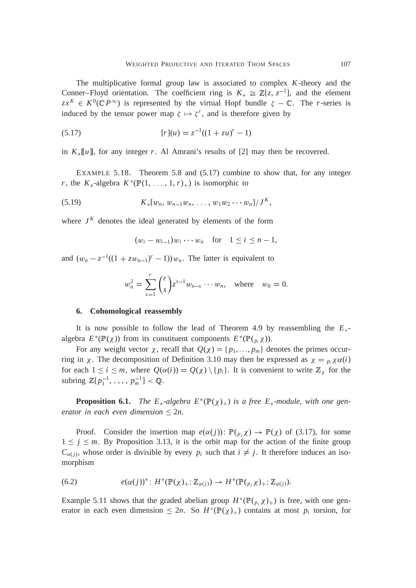The multiplicative formal group law is associated to complex *K*-theory and the Conner–Floyd orientation. The coefficient ring is  $K_* \cong \mathbb{Z}[z, z^{-1}]$ , and the element  $zx^{K} \in K^{0}(\mathbb{C}P^{\infty})$  is represented by the virtual Hopf bundle  $\zeta - \mathbb{C}$ . The *r*-series is induced by the tensor power map  $\zeta \mapsto \zeta^r$ , and is therefore given by

(5.17) 
$$
[r](u) = z^{-1}((1 + zu)^r - 1)
$$

in  $K_{\ast}[[u]]$ , for any integer *r*. Al Amrani's results of [2] may then be recovered.

EXAMPLE 5.18. Theorem 5.8 and (5.17) combine to show that, for any integer *r*, the  $K_*$ -algebra  $K^*(\mathbb{P}(1, \ldots, 1, r)_+)$  is isomorphic to

(5.19) 
$$
K_*[w_n, w_{n-1}w_n, \ldots, w_1w_2\cdots w_n]/J^K,
$$

where  $J^K$  denotes the ideal generated by elements of the form

$$
(w_i - w_{i-1})w_i \cdots w_n
$$
 for  $1 \le i \le n-1$ ,

and  $(w_n - z^{-1}((1 + zw_{n-1})^r - 1))w_n$ . The latter is equivalent to

$$
w_n^2 = \sum_{s=1}^r \binom{r}{s} z^{s-1} w_{n-s} \cdots w_n
$$
, where  $w_0 = 0$ .

#### **6. Cohomological reassembly**

It is now possible to follow the lead of Theorem 4.9 by reassembling the  $E_*$ algebra  $E^*(\mathbb{P}(\chi))$  from its constituent components  $E^*(\mathbb{P}(\rho_i \chi))$ .

For any weight vector  $\chi$ , recall that  $Q(\chi) = \{p_1, \ldots, p_m\}$  denotes the primes occurring in  $\chi$ . The decomposition of Definition 3.10 may then be expressed as  $\chi = p_i \chi \alpha(i)$ for each  $1 \le i \le m$ , where  $Q(\alpha(i)) = Q(\chi) \setminus \{p_i\}$ . It is convenient to write  $\mathbb{Z}_{\chi}$  for the subring  $\mathbb{Z}[p_1^{-1}, \ldots, p_m^{-1}] < \mathbb{Q}$ .

**Proposition 6.1.** *The E<sub>\*</sub>-algebra*  $E^*(\mathbb{P}(\chi)_+)$  *is a free E<sub>\*</sub>-module, with one generator in each even dimension*  $\leq 2n$ *.* 

Proof. Consider the insertion map  $e(\alpha(j))$ :  $\mathbb{P}(\beta_j \chi) \to \mathbb{P}(\chi)$  of (3.17), for some  $1 \leq j \leq m$ . By Proposition 3.13, it is the orbit map for the action of the finite group  $C_{\alpha(j)}$ , whose order is divisible by every  $p_i$  such that  $i \neq j$ . It therefore induces an isomorphism

(6.2) 
$$
e(\alpha(j))^* \colon H^*(\mathbb{P}(\chi)_+;\mathbb{Z}_{\alpha(j)}) \to H^*(\mathbb{P}(\gamma_{p_j}\chi)_+;\mathbb{Z}_{\alpha(j)}).
$$

Example 5.11 shows that the graded abelian group  $H^*(\mathbb{P}(\binom{p}{p} \chi)_+)$  is free, with one generator in each even dimension  $\leq 2n$ . So  $H^*(\mathbb{P}(\chi))_+$  contains at most  $p_i$  torsion, for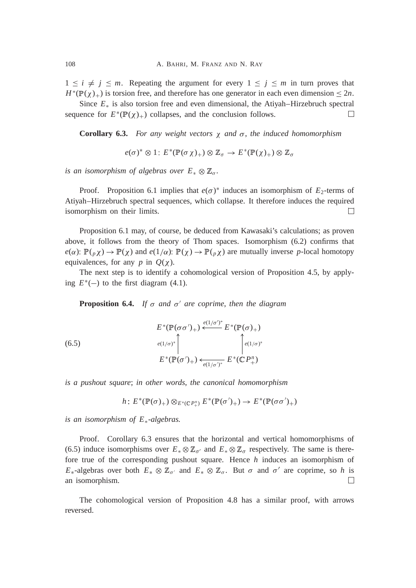$1 \leq i \neq j \leq m$ . Repeating the argument for every  $1 \leq j \leq m$  in turn proves that  $H^*(\mathbb{P}(\chi)_+)$  is torsion free, and therefore has one generator in each even dimension  $\leq 2n$ .

Since  $E_*$  is also torsion free and even dimensional, the Atiyah–Hirzebruch spectral  $\Box$ sequence for  $E^*(\mathbb{P}(\chi)_+)$  collapses, and the conclusion follows.

**Corollary 6.3.** *For any weight vectors and* , *the induced homomorphism*

 $e(\sigma)^* \otimes 1$  :  $E^*(\mathbb{P}(\sigma \chi)_+) \otimes \mathbb{Z}_\sigma \to E^*(\mathbb{P}(\chi)_+) \otimes \mathbb{Z}_\sigma$ 

*is an isomorphism of algebras over*  $E_* \otimes \mathbb{Z}_\sigma$ .

Proof. Proposition 6.1 implies that  $e(\sigma)^*$  induces an isomorphism of  $E_2$ -terms of Atiyah–Hirzebruch spectral sequences, which collapse. It therefore induces the required isomorphism on their limits.  $\Box$ 

Proposition 6.1 may, of course, be deduced from Kawasaki's calculations; as proven above, it follows from the theory of Thom spaces. Isomorphism (6.2) confirms that  $e(\alpha)$ :  $\mathbb{P}(\rho \chi) \to \mathbb{P}(\chi)$  and  $e(1/\alpha)$ :  $\mathbb{P}(\chi) \to \mathbb{P}(\rho \chi)$  are mutually inverse *p*-local homotopy equivalences, for any  $p$  in  $Q(\chi)$ .

The next step is to identify a cohomological version of Proposition 4.5, by applying  $E^*(-)$  to the first diagram  $(4.1)$ .

**Proposition 6.4.** If  $\sigma$  and  $\sigma'$  are coprime, then the diagram

(6.5)  

$$
E^*(\mathbb{P}(\sigma\sigma')_+) \xleftarrow{e(1/\sigma')^*} E^*(\mathbb{P}(\sigma)_+)
$$

$$
= e^{(1/\sigma)^*} \int_{E^*(\mathbb{P}(\sigma')_+)} \int_{e(1/\sigma')^*}^{\phi(1/\sigma)^*} E^*(\mathbb{C}P_+^n)
$$

*is a pushout square*; *in other words*, *the canonical homomorphism*

$$
h\colon E^*(\mathbb{P}(\sigma)_+)\otimes_{E^*(\mathbb{C}P_+^n)}E^*(\mathbb{P}(\sigma')_+) \to E^*(\mathbb{P}(\sigma\sigma')_+)
$$

*is an isomorphism of E-algebras.*

Proof. Corollary 6.3 ensures that the horizontal and vertical homomorphisms of (6.5) induce isomorphisms over  $E_* \otimes \mathbb{Z}_{\sigma'}$  and  $E_* \otimes \mathbb{Z}_{\sigma}$  respectively. The same is therefore true of the corresponding pushout square. Hence *h* induces an isomorphism of  $E_*$ -algebras over both  $E_* \otimes \mathbb{Z}_{\sigma}$  and  $E_* \otimes \mathbb{Z}_{\sigma}$ . But  $\sigma$  and  $\sigma'$  are coprime, so h is an isomorphism.  $\Box$ 

The cohomological version of Proposition 4.8 has a similar proof, with arrows reversed.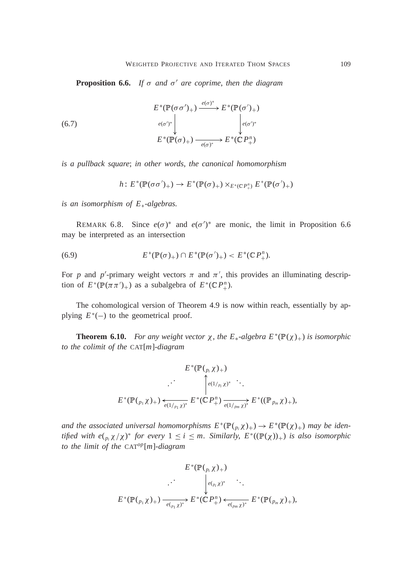**Proposition 6.6.** If  $\sigma$  and  $\sigma'$  are coprime, then the diagram

(6.7)  $E^*(\mathbb{P}(\sigma\sigma')_+) \xrightarrow{e(\sigma)^*}$  $e(\sigma')^*$ K  $E^*(\mathbb{P}(\sigma')_+)$  $e(\sigma')^*$  $E^*(\mathbb{P}(\sigma)_+) \longrightarrow E^*(\mathbb{C}P_+^n)$ 

*is a pullback square*; *in other words*, *the canonical homomorphism*

$$
h\colon E^*(\mathbb{P}(\sigma\sigma')_+) \to E^*(\mathbb{P}(\sigma)_+) \times_{E^*(\mathbb{C}\,P^n_+)} E^*(\mathbb{P}(\sigma')_+)
$$

*is an isomorphism of E-algebras.*

REMARK 6.8. Since  $e(\sigma)^*$  and  $e(\sigma')^*$  are monic, the limit in Proposition 6.6 may be interpreted as an intersection

(6.9) 
$$
E^*(\mathbb{P}(\sigma)_+) \cap E^*(\mathbb{P}(\sigma')_+) < E^*(\mathbb{C}P_+^n).
$$

For p and p'-primary weight vectors  $\pi$  and  $\pi'$ , this provides an illuminating description of  $E^*(\mathbb{P}(\pi \pi')_+)$  as a subalgebra of  $E^*(\mathbb{C}P_+^n)$ .

The cohomological version of Theorem 4.9 is now within reach, essentially by applying  $E^*(-)$  to the geometrical proof.

**Theorem 6.10.** *For any weight vector*  $\chi$ , *the*  $E_*$ -*algebra*  $E^*(\mathbb{P}(\chi)_+)$  *is isomorphic to the colimit of the* CAT[*m*]*-diagram*

$$
E^*(\mathbb{P}(\mathfrak{p}, \chi)_+)
$$
  

$$
E^*(\mathbb{P}(\mathfrak{p}, \chi)_+) \xrightarrow{\longrightarrow} E^*(\mathbb{C}P^n_+) \xrightarrow{\longrightarrow} E^*(\mathbb{P}(\mathfrak{p}, \chi)_+).
$$
  

$$
E^*(\mathbb{P}(\mathfrak{p}, \chi)_+) \xleftarrow{\longrightarrow} E^*(\mathbb{C}P^n_+) \xrightarrow{\longrightarrow} E^*(\mathbb{P}(\mathfrak{p}, \chi)_+),
$$

and the associated universal homomorphisms  $E^*(\mathbb{P}(\binom{p}{i} \chi)_+) \to E^*(\mathbb{P}(\chi)_+)$  may be iden*tified with*  $e(p_i \chi/\chi)^*$  *for every*  $1 \leq i \leq m$ . *Similarly*,  $E^*((\mathbb{P}(\chi))_+)$  *is also isomorphic to the limit of the* CAT*op*[*m*]*-diagram*

$$
E^*(\mathbb{P}(\mathfrak{p}, \chi)_+)
$$
  

$$
\downarrow e(\mathfrak{p}, \chi)^* \qquad \qquad \cdot \qquad \cdot
$$
  

$$
E^*(\mathbb{P}(\mathfrak{p}, \chi)_+) \xrightarrow{e(\mathfrak{p}, \chi)^*} E^*(\mathbb{C}P_+^n) \xleftarrow{e(\mathfrak{p}, \chi)^*} E^*(\mathbb{P}(\mathfrak{p}, \chi)_+),
$$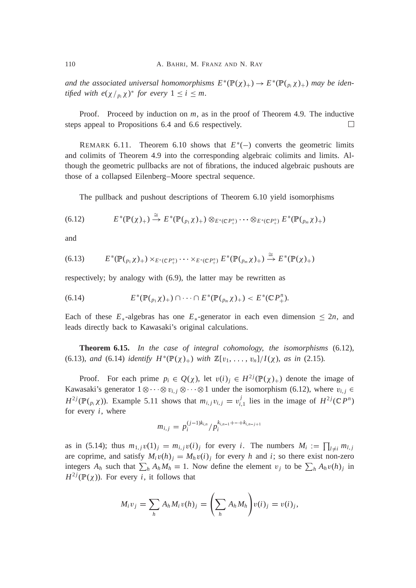and the associated universal homomorphisms  $E^*(\mathbb{P}(\chi)_+) \to E^*(\mathbb{P}(\rho_i \chi)_+)$  may be iden*tified with*  $e(\chi /_{p_i}\chi)^*$  *for every*  $1 \leq i \leq m$ .

Proof. Proceed by induction on *m*, as in the proof of Theorem 4.9. The inductive steps appeal to Propositions 6.4 and 6.6 respectively.  $\Box$ 

REMARK 6.11. Theorem 6.10 shows that  $E^*(-)$  converts the geometric limits and colimits of Theorem 4.9 into the corresponding algebraic colimits and limits. Although the geometric pullbacks are not of fibrations, the induced algebraic pushouts are those of a collapsed Eilenberg–Moore spectral sequence.

The pullback and pushout descriptions of Theorem 6.10 yield isomorphisms

$$
(6.12) \t\t\t E^*(\mathbb{P}(\chi)_+) \stackrel{=}{\rightarrow} E^*(\mathbb{P}(\rho_1 \chi)_+) \otimes_{E^*(\mathbb{C}P_+^n)} \cdots \otimes_{E^*(\mathbb{C}P_+^n)} E^*(\mathbb{P}(\rho_m \chi)_+)
$$

and

$$
(6.13) \qquad E^*(\mathbb{P}(\rho_1\chi)_+) \times_{E^*(\mathbb{C}P_+^n)} \cdots \times_{E^*(\mathbb{C}P_+^n)} E^*(\mathbb{P}(\rho_m\chi)_+) \stackrel{\cong}{\to} E^*(\mathbb{P}(\chi)_+)
$$

respectively; by analogy with (6.9), the latter may be rewritten as

(6.14) 
$$
E^*(\mathbb{P}(\binom{p_1}{X_+}) \cap \cdots \cap E^*(\mathbb{P}(\binom{p_m}{X_+}) < E^*(\mathbb{C}P^n_+).
$$

Each of these  $E_*$ -algebras has one  $E_*$ -generator in each even dimension  $\leq 2n$ , and leads directly back to Kawasaki's original calculations.

**Theorem 6.15.** *In the case of integral cohomology*, *the isomorphisms* (6.12), (6.13), and (6.14) *identify*  $H^*(\mathbb{P}(\chi)_+)$  *with*  $\mathbb{Z}[v_1, \ldots, v_n]/I(\chi)$ , as in (2.15).

Proof. For each prime  $p_i \in Q(\chi)$ , let  $v(i)_j \in H^{2j}(\mathbb{P}(\chi)_+)$  denote the image of Kawasaki's generator  $1 \otimes \cdots \otimes v_{i,j} \otimes \cdots \otimes 1$  under the isomorphism (6.12), where  $v_{i,j} \in$  $H^{2j}(\mathbb{P}(\mathcal{C}_{p_i}\chi))$ . Example 5.11 shows that  $m_{i,j}v_{i,j} = v_{i,1}^j$  lies in the image of  $H^{2j}(\mathbb{C}P^n)$ for every *i*, where

$$
m_{i,j} = p_i^{(j-1)k_{i,n}}/p_i^{k_{i,n-1}+\cdots+k_{i,n-j+1}}
$$

as in (5.14); thus  $m_{1,j}v(1)_j = m_{i,j}v(i)_j$  for every *i*. The numbers  $M_i := \prod_{l \neq i} m_{l,j}$ are coprime, and satisfy  $M_i v(h)_j = M_h v(i)_j$  for every *h* and *i*; so there exist non-zero integers  $A_h$  such that  $\sum_h A_h M_h = 1$ . Now define the element  $v_j$  to be  $\sum_h A_h v(h)$  in  $H^{2j}(\mathbb{P}(\chi))$ . For every *i*, it follows that

$$
M_i v_j = \sum_h A_h M_i v(h)_j = \left(\sum_h A_h M_h\right) v(i)_j = v(i)_j,
$$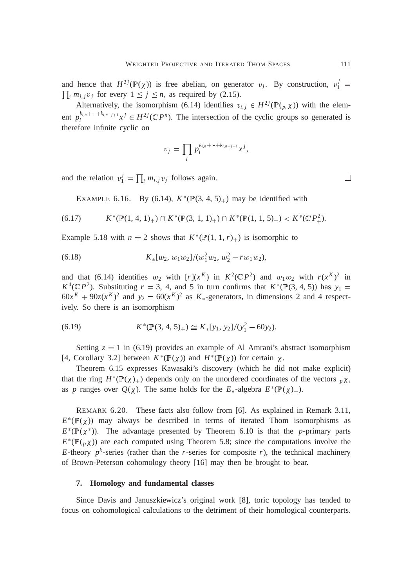and hence that  $H^{2j}(\mathbb{P}(\chi))$  is free abelian, on generator  $v_j$ . By construction,  $v_1^j =$  $\prod_i m_{i,j} v_j$  for every  $1 \le j \le n$ , as required by (2.15).

Alternatively, the isomorphism (6.14) identifies  $v_{i,j} \in H^{2j}(\mathbb{P}(\mathfrak{p}_i \chi))$  with the element  $p_i^{k_{i,n}+\dots+k_{i,n-j+1}}x^j \in H^{2j}(\mathbb{C}P^n)$ . The intersection of the cyclic groups so generated is therefore infinite cyclic on

$$
v_j=\prod_i p_i^{k_{i,n}+\cdots+k_{i,n-j+1}}x^j,
$$

and the relation  $v_1^j = \prod_i m_{i,j} v_j$  follows again.

EXAMPLE 6.16. By (6.14),  $K^*(\mathbb{P}(3, 4, 5)_+)$  may be identified with

$$
(6.17) \qquad K^*(\mathbb{P}(1,4,1)_+) \cap K^*(\mathbb{P}(3,1,1)_+) \cap K^*(\mathbb{P}(1,1,5)_+) < K^*(\mathbb{C}P^2_+).
$$

Example 5.18 with  $n = 2$  shows that  $K^*(\mathbb{P}(1, 1, r)_+)$  is isomorphic to

(6.18) 
$$
K_*[w_2, w_1w_2]/(w_1^2w_2, w_2^2 - rw_1w_2),
$$

and that (6.14) identifies  $w_2$  with  $[r](x^K)$  in  $K^2(\mathbb{C}P^2)$  and  $w_1w_2$  with  $r(x^K)^2$  in  $K^4(\mathbb{C}P^2)$ . Substituting  $r = 3$ , 4, and 5 in turn confirms that  $K^*(\mathbb{P}(3, 4, 5))$  has  $y_1 =$  $60x^{K} + 90z(x^{K})^{2}$  and  $y_{2} = 60(x^{K})^{2}$  as  $K_{*}$ -generators, in dimensions 2 and 4 respectively. So there is an isomorphism

(6.19) 
$$
K^*(\mathbb{P}(3, 4, 5)_+) \cong K_*[y_1, y_2]/(y_1^2 - 60y_2).
$$

Setting  $z = 1$  in (6.19) provides an example of Al Amrani's abstract isomorphism [4, Corollary 3.2] between  $K^*(\mathbb{P}(\chi))$  and  $H^*(\mathbb{P}(\chi))$  for certain  $\chi$ .

Theorem 6.15 expresses Kawasaki's discovery (which he did not make explicit) that the ring  $H^*(\mathbb{P}(\chi)_+)$  depends only on the unordered coordinates of the vectors  $p\chi$ , as *p* ranges over  $Q(\chi)$ . The same holds for the  $E_*$ -algebra  $E^*(P(\chi))_+$ .

REMARK 6.20. These facts also follow from [6]. As explained in Remark 3.11,  $E^*(\mathbb{P}(\chi))$  may always be described in terms of iterated Thom isomorphisms as  $E^*(\mathbb{P}(\chi^*))$ . The advantage presented by Theorem 6.10 is that the *p*-primary parts  $E^*(\mathbb{P}(\rho \chi))$  are each computed using Theorem 5.8; since the computations involve the *E*-theory  $p^k$ -series (rather than the *r*-series for composite *r*), the technical machinery of Brown-Peterson cohomology theory [16] may then be brought to bear.

#### **7. Homology and fundamental classes**

Since Davis and Januszkiewicz's original work [8], toric topology has tended to focus on cohomological calculations to the detriment of their homological counterparts.

 $\Box$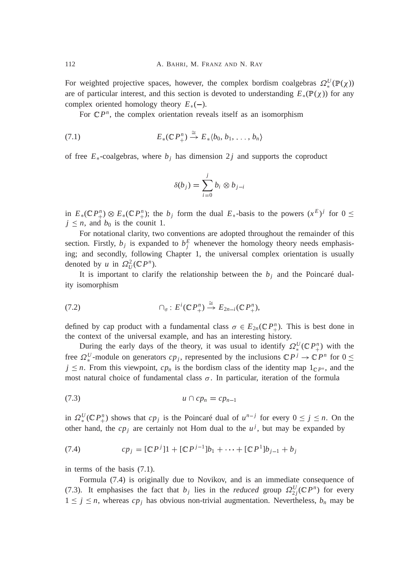For weighted projective spaces, however, the complex bordism coalgebras  $\Omega_*^U(\mathbb{P}(\chi))$ are of particular interest, and this section is devoted to understanding  $E_*(\mathbb{P}(\chi))$  for any complex oriented homology theory  $E_*(-)$ .

For  $\mathbb{C}P^n$ , the complex orientation reveals itself as an isomorphism

$$
(7.1) \tE_*(\mathbb{C} P_+^n) \xrightarrow{\cong} E_*(b_0, b_1, \ldots, b_n)
$$

of free  $E_*$ -coalgebras, where  $b_j$  has dimension 2 *j* and supports the coproduct

$$
\delta(b_j) = \sum_{i=0}^j b_i \otimes b_{j-i}
$$

in  $E_*(\mathbb{C} P^n_+) \otimes E_*(\mathbb{C} P^n_+)$ ; the *b<sub>j</sub>* form the dual  $E_*$ -basis to the powers  $(x^E)^j$  for  $0 \leq$  $j \leq n$ , and  $b_0$  is the counit 1.

For notational clarity, two conventions are adopted throughout the remainder of this section. Firstly,  $b_j$  is expanded to  $b_j^E$  whenever the homology theory needs emphasising; and secondly, following Chapter 1, the universal complex orientation is usually denoted by *u* in  $\Omega_U^2(\mathbb{C}P^n)$ .

It is important to clarify the relationship between the  $b_j$  and the Poincaré duality isomorphism

$$
(7.2) \qquad \qquad \cap_{\sigma} : E^i(\mathbb{C} P^n_+) \xrightarrow{\cong} E_{2n-i}(\mathbb{C} P^n_+),
$$

defined by cap product with a fundamental class  $\sigma \in E_{2n}(\mathbb{C} P_+^n)$ . This is best done in the context of the universal example, and has an interesting history.

During the early days of the theory, it was usual to identify  $\Omega_*^U(\mathbb{C}P_{+}^n)$  with the free  $\Omega_*^U$ -module on generators  $cp_j$ , represented by the inclusions  $\mathbb{C}P^j \to \mathbb{C}P^n$  for  $0 \leq$  $j \leq n$ . From this viewpoint,  $cp_n$  is the bordism class of the identity map  $1_{\mathbb{C}P^n}$ , and the most natural choice of fundamental class  $\sigma$ . In particular, iteration of the formula

$$
(7.3) \t\t u \cap cp_n = cp_{n-1}
$$

in  $\Omega_*^U(\mathbb{C} P_+^n)$  shows that  $cp_j$  is the Poincaré dual of  $u^{n-j}$  for every  $0 \le j \le n$ . On the other hand, the  $cp_j$  are certainly not Hom dual to the  $u^j$ , but may be expanded by

(7.4) 
$$
cp_j = [\mathbb{C}P^j]1 + [\mathbb{C}P^{j-1}]b_1 + \cdots + [\mathbb{C}P^1]b_{j-1} + b_j
$$

in terms of the basis (7.1).

Formula (7.4) is originally due to Novikov, and is an immediate consequence of (7.3). It emphasises the fact that  $b_j$  lies in the *reduced* group  $\Omega_{2j}^U(\mathbb{C}P^n)$  for every  $1 \leq j \leq n$ , whereas  $cp_j$  has obvious non-trivial augmentation. Nevertheless,  $b_n$  may be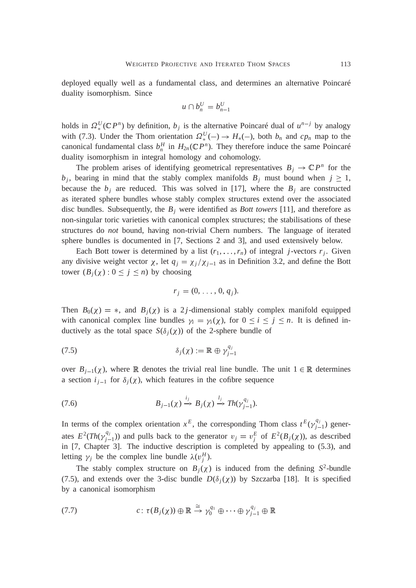deployed equally well as a fundamental class, and determines an alternative Poincaré duality isomorphism. Since

$$
u \cap b_n^U = b_{n-1}^U
$$

holds in  $\Omega_*^U(\mathbb{C}P^n)$  by definition,  $b_j$  is the alternative Poincaré dual of  $u^{n-j}$  by analogy with (7.3). Under the Thom orientation  $\Omega_*^U(-) \to H_*(-)$ , both  $b_n$  and  $cp_n$  map to the canonical fundamental class  $b_n^H$  in  $H_{2n}(\mathbb{C}P^n)$ . They therefore induce the same Poincaré duality isomorphism in integral homology and cohomology.

The problem arises of identifying geometrical representatives  $B_j \to \mathbb{C}P^n$  for the  $b_j$ , bearing in mind that the stably complex manifolds  $B_j$  must bound when  $j \geq 1$ , because the  $b_j$  are reduced. This was solved in [17], where the  $B_j$  are constructed as iterated sphere bundles whose stably complex structures extend over the associated disc bundles. Subsequently, the *B<sup>j</sup>* were identified as *Bott towers* [11], and therefore as non-singular toric varieties with canonical complex structures; the stabilisations of these structures do *not* bound, having non-trivial Chern numbers. The language of iterated sphere bundles is documented in [7, Sections 2 and 3], and used extensively below.

Each Bott tower is determined by a list  $(r_1, \ldots, r_n)$  of integral *j*-vectors  $r_j$ . Given any divisive weight vector  $\chi$ , let  $q_j = \chi_j / \chi_{j-1}$  as in Definition 3.2, and define the Bott tower  $(B_i(\chi)$   $0 \leq j \leq n)$  by choosing

$$
r_j = (0, \ldots, 0, q_j).
$$

Then  $B_0(\chi) = *$ , and  $B_j(\chi)$  is a 2*j*-dimensional stably complex manifold equipped with canonical complex line bundles  $\gamma_i = \gamma_i(\chi)$ , for  $0 \le i \le j \le n$ . It is defined inductively as the total space  $S(\delta_i(\chi))$  of the 2-sphere bundle of

$$
\delta_j(\chi) := \mathbb{R} \oplus \gamma_{j-1}^{q_j}
$$

over  $B_{j-1}(\chi)$ , where R denotes the trivial real line bundle. The unit  $1 \in \mathbb{R}$  determines a section  $i_{j-1}$  for  $\delta_j(\chi)$ , which features in the cofibre sequence

(7.6) 
$$
B_{j-1}(\chi) \stackrel{i_j}{\rightarrow} B_j(\chi) \stackrel{l_j}{\rightarrow} Th(\gamma_{j-1}^{q_j}).
$$

In terms of the complex orientation  $x^E$ , the corresponding Thom class  $t^E(\gamma_{j-1}^{q_j})$  generates  $E^2(Th(\gamma_{j-1}^{q_j}))$  and pulls back to the generator  $v_j = v_j^E$  of  $E^2(B_j(\chi))$ , as described in [7, Chapter 3]. The inductive description is completed by appealing to (5.3), and letting  $\gamma_j$  be the complex line bundle  $\lambda(v_j^H)$ .

The stably complex structure on  $B_j(\chi)$  is induced from the defining  $S^2$ -bundle (7.5), and extends over the 3-disc bundle  $D(\delta_i(\chi))$  by Szczarba [18]. It is specified by a canonical isomorphism

(7.7) 
$$
c: \tau(B_j(\chi)) \oplus \mathbb{R} \stackrel{\cong}{\to} \gamma_0^{q_1} \oplus \cdots \oplus \gamma_{j-1}^{q_j} \oplus \mathbb{R}
$$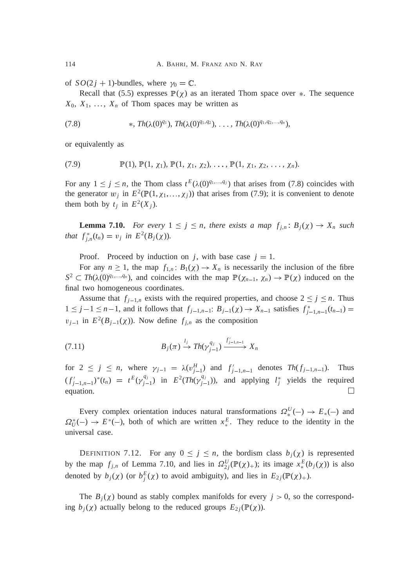of  $SO(2j + 1)$ -bundles, where  $\gamma_0 = \mathbb{C}$ .

Recall that (5.5) expresses  $\mathbb{P}(\chi)$  as an iterated Thom space over  $*$ . The sequence  $X_0, X_1, \ldots, X_n$  of Thom spaces may be written as

(7.8) 
$$
\ast, Th(\lambda(0)^{q_1}), Th(\lambda(0)^{q_1,q_2}), \ldots, Th(\lambda(0)^{q_1,q_2,\ldots,q_n}),
$$

or equivalently as

(7.9) 
$$
\mathbb{P}(1), \mathbb{P}(1, \chi_1), \mathbb{P}(1, \chi_1, \chi_2), \ldots, \mathbb{P}(1, \chi_1, \chi_2, \ldots, \chi_n).
$$

For any  $1 \le j \le n$ , the Thom class  $t^E(\lambda(0)^{q_1,...,q_j})$  that arises from (7.8) coincides with the generator  $w_j$  in  $E^2(\mathbb{P}(1, \chi_1, \ldots, \chi_j))$  that arises from (7.9); it is convenient to denote them both by  $t_j$  in  $E^2(X_j)$ .

**Lemma 7.10.** *For every*  $1 \leq j \leq n$ , *there exists a map*  $f_{j,n}$   $B_j(\chi) \to X_n$  *such that*  $f_{j,n}^*(t_n) = v_j$  *in*  $E^2(B_j(\chi))$ *.* 

Proof. Proceed by induction on *j*, with base case  $j = 1$ .

For any  $n \ge 1$ , the map  $f_{1,n}$ .  $B_1(\chi) \to X_n$  is necessarily the inclusion of the fibre  $S^2 \subset Th(\lambda(0)^{q_1,\ldots,q_n})$ , and coincides with the map  $\mathbb{P}(\chi_{n-1}, \chi_n) \to \mathbb{P}(\chi)$  induced on the final two homogeneous coordinates.

Assume that  $f_{j-1,n}$  exists with the required properties, and choose  $2 \leq j \leq n$ . Thus  $1 \leq j-1 \leq n-1$ , and it follows that  $f_{j-1,n-1}: B_{j-1}(\chi) \to X_{n-1}$  satisfies  $f_{j-1,n-1}^*(t_{n-1}) =$  $v_{j-1}$  in  $E^2(B_{j-1}(\chi))$ . Now define  $f_{j,n}$  as the composition

$$
(7.11) \t\t B_j(\pi) \xrightarrow{l_j} Th(\gamma_{j-1}^{q_j}) \xrightarrow{f'_{j-1,n-1}} X_n
$$

for  $2 \leq j \leq n$ , where  $\gamma_{j-1} = \lambda(v_{j-1}^H)$  and  $f'_{j-1,n-1}$  denotes  $Th(f_{j-1,n-1})$ . Thus  $(f'_{j-1,n-1})^*(t_n) = t^E(\gamma_{j-1}^{q_j})$  in  $E^2(Th(\gamma_{j-1}^{q_j}))$ , and applying  $l_j^*$  yields the required  $\Box$ equation.

Every complex orientation induces natural transformations  $\Omega_*^U(-) \to E_*(-)$  and  $\Omega_U^*(-) \to E^*(-)$ , both of which are written  $x_*^E$ . They reduce to the identity in the universal case.

DEFINITION 7.12. For any  $0 \le j \le n$ , the bordism class  $b_j(\chi)$  is represented by the map  $f_{j,n}$  of Lemma 7.10, and lies in  $\Omega_{2j}^U(\mathbb{P}(\chi)_+);$  its image  $x_*^E(b_j(\chi))$  is also denoted by  $b_j(\chi)$  (or  $b_j^E(\chi)$  to avoid ambiguity), and lies in  $E_{2j}(\mathbb{P}(\chi))_{+}$ .

The  $B_i(\chi)$  bound as stably complex manifolds for every  $j > 0$ , so the corresponding  $b_j(\chi)$  actually belong to the reduced groups  $E_{2j}(\mathbb{P}(\chi))$ .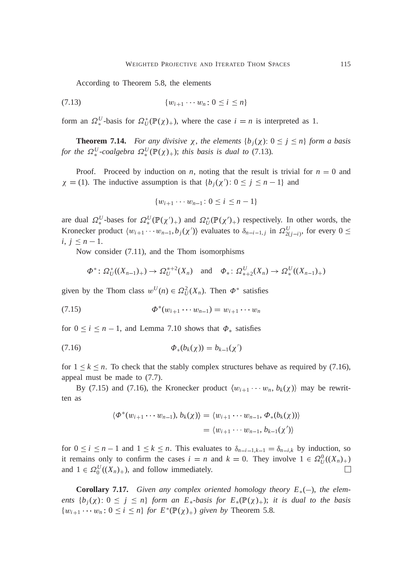According to Theorem 5.8, the elements

$$
(7.13) \t\t\t \{w_{i+1} \cdots w_n : 0 \le i \le n\}
$$

form an  $\Omega_*^U$ -basis for  $\Omega_U^*(\mathbb{P}(\chi)_+)$ , where the case  $i = n$  is interpreted as 1.

**Theorem 7.14.** *For any divisive*  $\chi$ , *the elements*  $\{b_i(\chi): 0 \leq j \leq n\}$  *form a basis for the*  $\Omega^U_*$ -coalgebra  $\Omega^U_*(\mathbb{P}(\chi)_+)$ ; *this basis is dual to* (7.13)*.* 

Proof. Proceed by induction on *n*, noting that the result is trivial for  $n = 0$  and  $\chi = (1)$ . The inductive assumption is that  ${b_j(\chi') : 0 \le j \le n-1}$  and

$$
\{w_{i+1}\cdots w_{n-1}: 0 \le i \le n-1\}
$$

are dual  $\Omega_*^U$ -bases for  $\Omega_*^U(\mathbb{P}(\chi')_+)$  and  $\Omega_U^*(\mathbb{P}(\chi')_+)$  respectively. In other words, the Kronecker product  $\langle w_{i+1} \cdots w_{n-1}, b_j(\chi') \rangle$  evaluates to  $\delta_{n-i-1,j}$  in  $\Omega_{2(j-i)}^U$ , for every  $0 \leq$  $i, j \leq n-1.$ 

Now consider (7.11), and the Thom isomorphisms

$$
\Phi^* \colon \Omega^*_{U}((X_{n-1})_+) \to \Omega^{*+2}_{U}(X_n)
$$
 and  $\Phi_* \colon \Omega^U_{*+2}(X_n) \to \Omega^U_{*}((X_{n-1})_+)$ 

given by the Thom class  $w^U(n) \in \Omega^2_U(X_n)$ . Then  $\Phi^*$  satisfies

$$
(7.15) \t\t\t \t\t\t \Phi^*(w_{i+1}\cdots w_{n-1}) = w_{i+1}\cdots w_n
$$

for  $0 \le i \le n - 1$ , and Lemma 7.10 shows that  $\Phi_*$  satisfies

(7.16) 
$$
\Phi_*(b_k(\chi)) = b_{k-1}(\chi')
$$

for  $1 \leq k \leq n$ . To check that the stably complex structures behave as required by (7.16), appeal must be made to (7.7).

By (7.15) and (7.16), the Kronecker product  $\langle w_{i+1} \cdots w_n, b_k(\chi) \rangle$  may be rewritten as

$$
\langle \Phi^*(w_{i+1}\cdots w_{n-1}), b_k(\chi) \rangle = \langle w_{i+1}\cdots w_{n-1}, \Phi_*(b_k(\chi)) \rangle
$$
  
= 
$$
\langle w_{i+1}\cdots w_{n-1}, b_{k-1}(\chi') \rangle
$$

for  $0 \le i \le n-1$  and  $1 \le k \le n$ . This evaluates to  $\delta_{n-i-1,k-1} = \delta_{n-i,k}$  by induction, so it remains only to confirm the cases  $i = n$  and  $k = 0$ . They involve  $1 \in \Omega_U^0((X_n)_+)$ and  $1 \in \Omega_0^U((X_n)_+)$ , and follow immediately.  $\Box$ 

**Corollary 7.17.** Given any complex oriented homology theory  $E_*(-)$ , the elem*ents*  $\{b_i(\chi): 0 \leq j \leq n\}$  *form an E<sub>\*</sub>-basis for E<sub>\*</sub>*( $\mathbb{P}(\chi)$ +); *it is dual to the basis*  $\{w_{i+1} \cdots w_n : 0 \le i \le n\}$  *for*  $E^*(\mathbb{P}(\chi)_+)$  *given by* Theorem 5.8*.*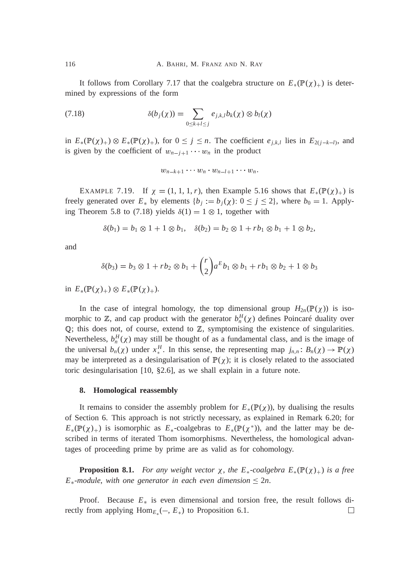It follows from Corollary 7.17 that the coalgebra structure on  $E_*(P(\chi))_+$  is determined by expressions of the form

(7.18) 
$$
\delta(b_j(\chi)) = \sum_{0 \le k+l \le j} e_{j,k,l} b_k(\chi) \otimes b_l(\chi)
$$

in  $E_*(\mathbb{P}(\chi)_+) \otimes E_*(\mathbb{P}(\chi)_+)$ , for  $0 \leq j \leq n$ . The coefficient  $e_{j,k,l}$  lies in  $E_{2(j-k-l)}$ , and is given by the coefficient of  $w_{n-j+1} \cdots w_n$  in the product

$$
w_{n-k+1}\cdots w_n\cdot w_{n-l+1}\cdots w_n.
$$

EXAMPLE 7.19. If  $\chi = (1, 1, 1, r)$ , then Example 5.16 shows that  $E_*(\mathbb{P}(\chi)_+)$  is freely generated over  $E_*$  by elements  ${b_j := b_j(\chi) : 0 \le j \le 2}$ , where  $b_0 = 1$ . Applying Theorem 5.8 to (7.18) yields  $\delta(1) = 1 \otimes 1$ , together with

$$
\delta(b_1) = b_1 \otimes 1 + 1 \otimes b_1, \quad \delta(b_2) = b_2 \otimes 1 + rb_1 \otimes b_1 + 1 \otimes b_2,
$$

and

$$
\delta(b_3) = b_3 \otimes 1 + rb_2 \otimes b_1 + {r \choose 2} a^E b_1 \otimes b_1 + rb_1 \otimes b_2 + 1 \otimes b_3
$$

in  $E_*(\mathbb{P}(\chi)_+) \otimes E_*(\mathbb{P}(\chi)_+).$ 

In the case of integral homology, the top dimensional group  $H_{2n}(\mathbb{P}(\chi))$  is isomorphic to  $\mathbb{Z}$ , and cap product with the generator  $b_n^H(\chi)$  defines Poincaré duality over <sup>Q</sup>; this does not, of course, extend to <sup>Z</sup>, symptomising the existence of singularities. Nevertheless,  $b_n^H(\chi)$  may still be thought of as a fundamental class, and is the image of the universal  $b_n(\chi)$  under  $x_*^H$ . In this sense, the representing map  $j_{n,n}$ :  $B_n(\chi) \to \mathbb{P}(\chi)$ may be interpreted as a desingularisation of  $\mathbb{P}(\chi)$ ; it is closely related to the associated toric desingularisation [10, §2.6], as we shall explain in a future note.

#### **8. Homological reassembly**

It remains to consider the assembly problem for  $E_*(P(\chi))$ , by dualising the results of Section 6. This approach is not strictly necessary, as explained in Remark 6.20; for  $E_*(\mathbb{P}(\chi)_+)$  is isomorphic as  $E_*$ -coalgebras to  $E_*(\mathbb{P}(\chi^*))$ , and the latter may be described in terms of iterated Thom isomorphisms. Nevertheless, the homological advantages of proceeding prime by prime are as valid as for cohomology.

**Proposition 8.1.** *For any weight vector*  $\chi$ *, the*  $E_*$ *-coalgebra*  $E_*(\mathbb{P}(\chi)_+)$  *is a free*  $E_*$ -module, with one generator in each even dimension  $\leq 2n$ .

Proof. Because  $E_*$  is even dimensional and torsion free, the result follows directly from applying  $\text{Hom}_{E_*}(-, E_*)$  to Proposition 6.1. □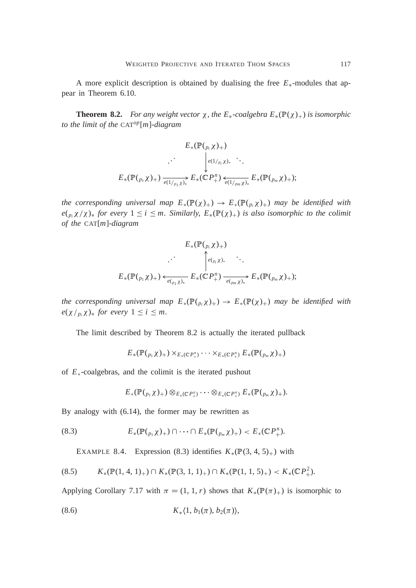A more explicit description is obtained by dualising the free  $E_*$ -modules that appear in Theorem 6.10.

**Theorem 8.2.** *For any weight vector*  $\chi$ *, the*  $E_*$ -coalgebra  $E_*(\mathbb{P}(\chi)_+)$  *is isomorphic to the limit of the* CAT*op*[*m*]*-diagram*

$$
E_*(\mathbb{P}(\mathfrak{p}_i \chi)_+)
$$
  

$$
E_*(\mathbb{P}(\mathfrak{p}_1 \chi)_+) \xrightarrow[e(1/\mathfrak{p}_i \chi)_*]{} E_*(\mathbb{C}P_+^n) \xleftarrow[e(1/\mathfrak{p}_m \chi)_*]{} E_*(\mathbb{P}(\mathfrak{p}_m \chi)_+);
$$

*the corresponding universal map*  $E_*(\mathbb{P}(\chi)_+) \to E_*(\mathbb{P}(\rho_{\mu}\chi)_+)$  *may be identified with*  $e(p_i \chi/\chi)$ <sup>\*</sup> for every  $1 \leq i \leq m$ . Similarly,  $E_*(\mathbb{P}(\chi))$  *is also isomorphic to the colimit of the* CAT[*m*]*-diagram*

$$
E_*(\mathbb{P}(\underset{p_i \chi}{P(\underset{p_i \chi}{P(\underset{p_i \chi}{P(\underset{p_i \chi}{P(\underset{p_i \chi}{P(\underset{p_i \chi}{P(\underset{p_i \chi}{P(\underset{p_i \chi}{P(\underset{p_i \chi}{P(\underset{p_i \chi}{P(\underset{p_i \chi}{P(\underset{p_i \chi}{P(\underset{p_i \chi}{P(\underset{p_i \chi}{P(\underset{p_i \chi}{P(\underset{p_i \chi}{P(\underset{p_i \chi}{P(\underset{p_i \chi}{P(\underset{p_i \chi}{P(\underset{p_i \chi}{P(\underset{p_i \chi}{P(\underset{p_i \chi}{P(\underset{p_i \chi}{P(\underset{p_i \chi}{P(\underset{p_i \chi}{P(\underset{p_i \chi}{P(\underset{p_i \chi}{P(\underset{p_i \chi}{P(\underset{p_i \chi}{P(\underset{p_i \chi}{P(\underset{p_i \chi}{P(\underset{p_i \chi}{P(\underset{p_i \chi}{P(\underset{p_i \chi}{P(\underset{p_i \chi}{P(\underset{p_i \chi}{P(\underset{p_i \chi}{P(\underset{p_i \chi}{P(\underset{p_i \chi}{P(\underset{p_i \chi}{P(\underset{p_i \chi}{P(\underset{p_i \chi}{P(\underset{p_i \chi}{P(\underset{p_i \chi}{P(\underset{p_i \chi}{P(\underset{p_i \chi}{P(\underset{p_i \chi}{P(\underset{p_i \chi}{P(\underset{p_i \chi}{P(\underset{p_i \chi}{P(\underset{p_i \chi}{P(\underset{p_i \chi}{P(\underset{p_i \chi}{P(\underset{p_i \chi}{P(\underset{p_i \chi}{P(\underset{p_i \chi}{P(\underset{p_i \chi}{P(\underset{p_i \chi}{P(\underset{p_i \chi}{P(\underset{p_i \chi}{P(\underset{p_i \chi}{P(\underset{p_i \chi}{P(\underset{p_i \chi}{P(\underset{p_i \chi}{P(\underset{p_i \chi}{P(\underset{p_i \chi}{P(\underset{p_i \chi}{P(\underset{p_i \chi}{P(\underset{p_i \chi}{P(\underset{p_i \chi}{P(\underset{p_i \chi}{P(\underset{p_i \chi}{P(\underset{p_i \chi}{P(\underset{p_i \chi}{P(\underset{p_i \chi}{P
$$

*the corresponding universal map*  $E_*(\mathbb{P}(\mathcal{P}_i \chi)_+) \to E_*(\mathbb{P}(\chi)_+)$  *may be identified with*  $e(\chi /_{p_i}\chi)_{\ast}$  *for every*  $1 \leq i \leq m$ .

The limit described by Theorem 8.2 is actually the iterated pullback

$$
E_*(\mathbb{P}(\mathcal{P}_1\chi)_+)\times_{E_*(\mathbb{C}P^n_+)}\cdots\times_{E_*(\mathbb{C}P^n_+)}E_*(\mathbb{P}(\mathcal{P}_m\chi)_+)
$$

of  $E_*$ -coalgebras, and the colimit is the iterated pushout

$$
E_*(\mathbb{P}(\begin{smallmatrix}p_1 \ \chi \end{smallmatrix})_+) \otimes_{E_* (\mathbb{C} P^n_+)} \cdots \otimes_{E_* (\mathbb{C} P^n_+)} E_* (\mathbb{P}(\begin{smallmatrix}p_m \ \chi \end{smallmatrix})_+).
$$

By analogy with (6.14), the former may be rewritten as

(8.3) 
$$
E_*(\mathbb{P}(\rho_1\chi)_+) \cap \cdots \cap E_*(\mathbb{P}(\rho_m\chi)_+) < E_*(\mathbb{C}P^n_+).
$$

EXAMPLE 8.4. Expression (8.3) identifies  $K_*(\mathbb{P}(3, 4, 5)_+)$  with

$$
(8.5) \qquad K_*({\mathbb P}(1,4,1)_+) \cap K_*({\mathbb P}(3,1,1)_+) \cap K_*({\mathbb P}(1,1,5)_+) < K_*({\mathbb C}P_+^2).
$$

Applying Corollary 7.17 with  $\pi = (1, 1, r)$  shows that  $K_*(\mathbb{P}(\pi)_+)$  is isomorphic to

$$
(8.6) \t\t K*\langle 1, b1(\pi), b2(\pi)\rangle,
$$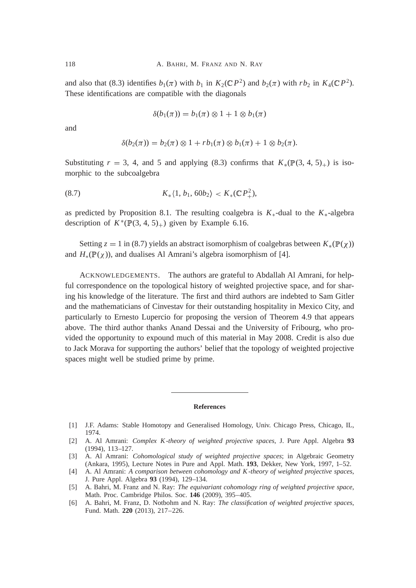and also that (8.3) identifies  $b_1(\pi)$  with  $b_1$  in  $K_2(\mathbb{C}P^2)$  and  $b_2(\pi)$  with  $rb_2$  in  $K_4(\mathbb{C}P^2)$ . These identifications are compatible with the diagonals

$$
\delta(b_1(\pi)) = b_1(\pi) \otimes 1 + 1 \otimes b_1(\pi)
$$

and

$$
\delta(b_2(\pi)) = b_2(\pi) \otimes 1 + rb_1(\pi) \otimes b_1(\pi) + 1 \otimes b_2(\pi).
$$

Substituting  $r = 3$ , 4, and 5 and applying (8.3) confirms that  $K_*(P(3, 4, 5)_+)$  is isomorphic to the subcoalgebra

$$
(8.7) \t K_*\langle 1, b_1, 60b_2 \rangle < K_*({\mathbb{C}}P_+^2),
$$

as predicted by Proposition 8.1. The resulting coalgebra is  $K_*$ -dual to the  $K_*$ -algebra description of  $K^*(\mathbb{P}(3, 4, 5)_+)$  given by Example 6.16.

Setting  $z = 1$  in (8.7) yields an abstract isomorphism of coalgebras between  $K_*(\mathbb{P}(\chi))$ and  $H_*(\mathbb{P}(\chi))$ , and dualises Al Amrani's algebra isomorphism of [4].

ACKNOWLEDGEMENTS. The authors are grateful to Abdallah Al Amrani, for helpful correspondence on the topological history of weighted projective space, and for sharing his knowledge of the literature. The first and third authors are indebted to Sam Gitler and the mathematicians of Cinvestav for their outstanding hospitality in Mexico City, and particularly to Ernesto Lupercio for proposing the version of Theorem 4.9 that appears above. The third author thanks Anand Dessai and the University of Fribourg, who provided the opportunity to expound much of this material in May 2008. Credit is also due to Jack Morava for supporting the authors' belief that the topology of weighted projective spaces might well be studied prime by prime.

#### **References**

[1] J.F. Adams: Stable Homotopy and Generalised Homology, Univ. Chicago Press, Chicago, IL, 1974.

- [3] A. Al Amrani: *Cohomological study of weighted projective spaces*; in Algebraic Geometry (Ankara, 1995), Lecture Notes in Pure and Appl. Math. **193**, Dekker, New York, 1997, 1–52.
- [4] A. Al Amrani: *A comparison between cohomology and K -theory of weighted projective spaces*, J. Pure Appl. Algebra **93** (1994), 129–134.
- [5] A. Bahri, M. Franz and N. Ray: *The equivariant cohomology ring of weighted projective space*, Math. Proc. Cambridge Philos. Soc. **146** (2009), 395–405.
- [6] A. Bahri, M. Franz, D. Notbohm and N. Ray: *The classification of weighted projective spaces*, Fund. Math. **220** (2013), 217–226.

<sup>[2]</sup> A. Al Amrani: *Complex K -theory of weighted projective spaces*, J. Pure Appl. Algebra **93** (1994), 113–127.